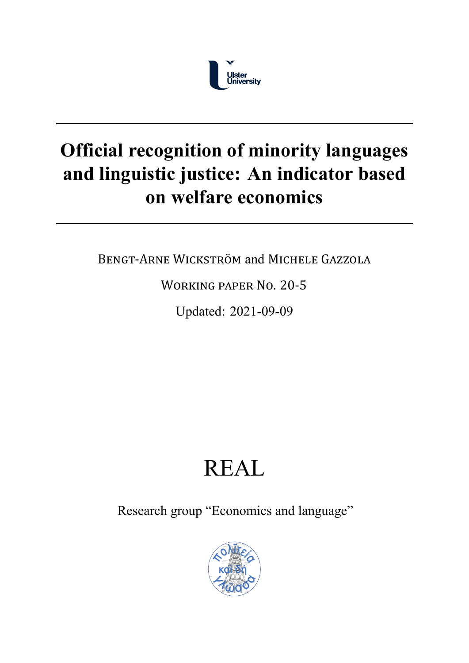

## **Official recognition of minority languages and linguistic justice: An indicator based on welfare economics**

BENGT‐ARNE WICKSTRÖM and MICHELE GAZZOLA

WORKING PAPER NO. 20‐5

Updated: 2021-09-09

# REAL

Research group "Economics and language"

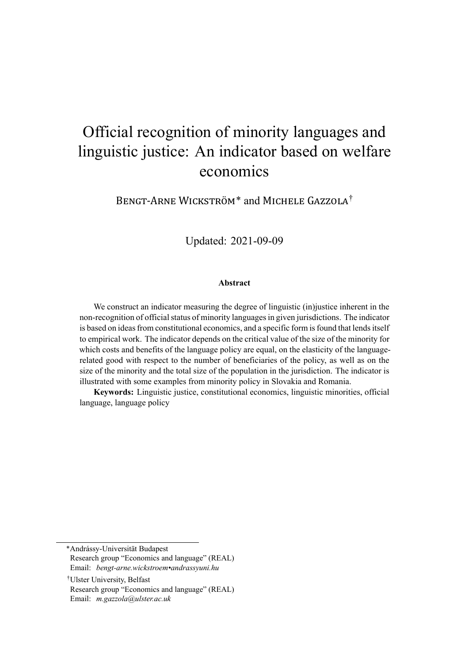### Official recognition of minority languages and linguistic justice: An indicator based on welfare economics

BENGT‐ARNE WICKSTRÖM\* and MICHELE GAZZOLA†

Updated: 2021-09-09

#### **Abstract**

We construct an indicator measuring the degree of linguistic (in)justice inherent in the non-recognition of official status of minority languages in given jurisdictions. The indicator is based on ideas from constitutional economics, and a specific form is found that lends itself to empirical work. The indicator depends on the critical value of the size of the minority for which costs and benefits of the language policy are equal, on the elasticity of the languagerelated good with respect to the number of beneficiaries of the policy, as well as on the size of the minority and the total size of the population in the jurisdiction. The indicator is illustrated with some examples from minority policy in Slovakia and Romania.

**Keywords:** Linguistic justice, constitutional economics, linguistic minorities, official language, language policy

\*Andrássy-Universität Budapest

Research group "Economics and language" (REAL) Email: *bengt-arne.wickstroem•andrassyuni.hu*

†Ulster University, Belfast Research group "Economics and language" (REAL) Email: *m.gazzola@ulster.ac.uk*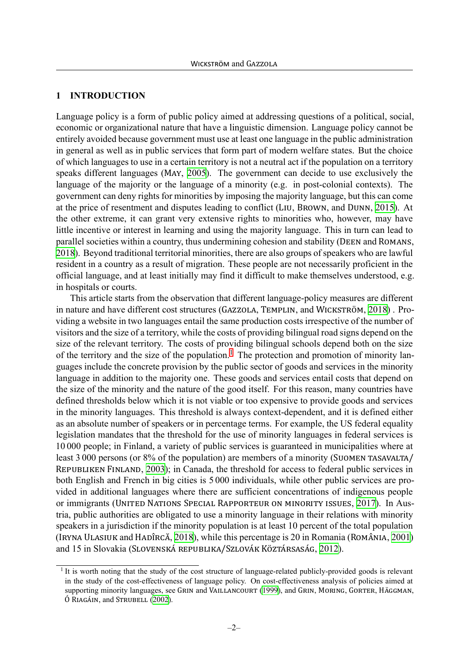#### <span id="page-2-1"></span>**1 INTRODUCTION**

Language policy is a form of public policy aimed at addressing questions of a political, social, economic or organizational nature that have a linguistic dimension. Language policy cannot be entirely avoided because government must use at least one language in the public administration in general as well as in public services that form part of modern welfare states. But the choice of which languages to use in a certain territory is not a neutral act if the population on a territory speaks different languages (MAY, [2005\)](#page-25-0). The government can decide to use exclusively the language of the majority or the language of a minority (e.g. in post-colonial contexts). The government can deny rights for minorities by imposing the majority language, but this can come at the price of resentment and disputes leading to conflict (LIU, BROWN, and DUNN, [2015\)](#page-25-1). At the other extreme, it can grant very extensive rights to minorities who, however, may have little incentive or interest in learning and using the majority language. This in turn can lead to parallel societies within a country, thus undermining cohesion and stability (DEEN and ROMANS, [2018](#page-24-0)). Beyond traditional territorial minorities, there are also groups of speakers who are lawful resident in a country as a result of migration. These people are not necessarily proficient in the official language, and at least initially may find it difficult to make themselves understood, e.g. in hospitals or courts.

This article starts from the observation that different language-policy measures are different in nature and have different cost structures (GAZZOLA, TEMPLIN, and WICKSTRÖM, [2018\)](#page-24-1) . Providing a website in two languages entail the same production costs irrespective of the number of visitors and the size of a territory, while the costs of providing bilingual road signs depend on the size of the relevant territory. The costs of providing bilingual schools depend both on the size of the territory and the size of the population.<sup>[1](#page-2-0)</sup> The protection and promotion of minority languages include the concrete provision by the public sector of goods and services in the minority language in addition to the majority one. These goods and services entail costs that depend on the size of the minority and the nature of the good itself. For this reason, many countries have defined thresholds below which it is not viable or too expensive to provide goods and services in the minority languages. This threshold is always context-dependent, and it is defined either as an absolute number of speakers or in percentage terms. For example, the US federal equality legislation mandates that the threshold for the use of minority languages in federal services is 10 000 people; in Finland, a variety of public services is guaranteed in municipalities where at least 3 000 persons (or 8% of the population) are members of a minority (SUOMEN TASAVALTA/ REPUBLIKEN FINLAND, [2003](#page-26-0)); in Canada, the threshold for access to federal public services in both English and French in big cities is 5 000 individuals, while other public services are provided in additional languages where there are sufficient concentrations of indigenous people or immigrants (UNITED NATIONS SPECIAL RAPPORTEUR ON MINORITY ISSUES, [2017\)](#page-26-1). In Austria, public authorities are obligated to use a minority language in their relations with minority speakers in a jurisdiction if the minority population is at least 10 percent of the total population (IRYNA ULASIUK and HADÎRCĂ, [2018](#page-26-2)), while this percentage is 20 in Romania (ROMÂNIA, [2001\)](#page-26-3) and 15 in Slovakia (SLOVENSKÁ REPUBLIKA/SZLOVÁK KÖZTÁRSASÁG, [2012\)](#page-26-4).

<span id="page-2-0"></span><sup>&</sup>lt;sup>1</sup> It is worth noting that the study of the cost structure of language-related publicly-provided goods is relevant in the study of the cost-effectiveness of language policy. On cost-effectiveness analysis of policies aimed at supporting minority languages, see GRIN and VAILLANCOURT ([1999\)](#page-24-2), and GRIN, MORING, GORTER, HÄGGMAN, Ó RIAGÁIN, and STRUBELL ([2002\)](#page-24-3).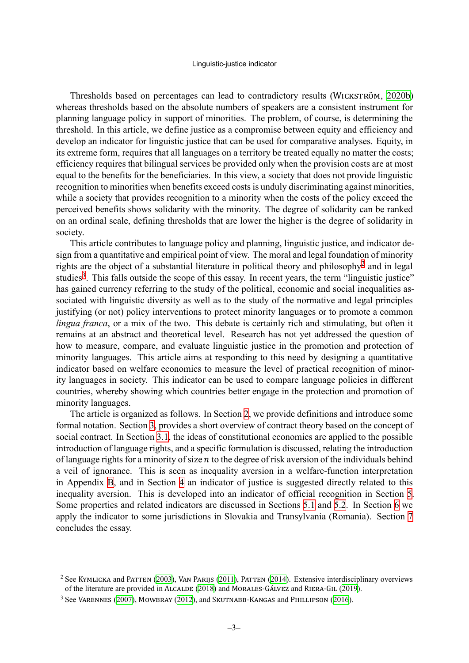Thresholds based on percentages can lead to contradictory results (WICKSTRÖM, [2020b\)](#page-27-0) whereas thresholds based on the absolute numbers of speakers are a consistent instrument for planning language policy in support of minorities. The problem, of course, is determining the threshold. In this article, we define justice as a compromise between equity and efficiency and develop an indicator for linguistic justice that can be used for comparative analyses. Equity, in its extreme form, requires that all languages on a territory be treated equally no matter the costs; efficiency requires that bilingual services be provided only when the provision costs are at most equal to the benefits for the beneficiaries. In this view, a society that does not provide linguistic recognition to minorities when benefits exceed costs is unduly discriminating against minorities, while a society that provides recognition to a minority when the costs of the policy exceed the perceived benefits shows solidarity with the minority. The degree of solidarity can be ranked on an ordinal scale, defining thresholds that are lower the higher is the degree of solidarity in society.

This article contributes to language policy and planning, linguistic justice, and indicator design from a quantitative and empirical point of view. The moral and legal foundation of minority rights are the object of a substantial literature in political theory and philosophy<sup>[2](#page-3-0)</sup> and in legal studies<sup>[3](#page-3-1)</sup>. This falls outside the scope of this essay. In recent years, the term "linguistic justice" has gained currency referring to the study of the political, economic and social inequalities associated with linguistic diversity as well as to the study of the normative and legal principles justifying (or not) policy interventions to protect minority languages or to promote a common *lingua franca*, or a mix of the two. This debate is certainly rich and stimulating, but often it remains at an abstract and theoretical level. Research has not yet addressed the question of how to measure, compare, and evaluate linguistic justice in the promotion and protection of minority languages. This article aims at responding to this need by designing a quantitative indicator based on welfare economics to measure the level of practical recognition of minority languages in society. This indicator can be used to compare language policies in different countries, whereby showing which countries better engage in the protection and promotion of minority languages.

The article is organized as follows. In Section [2,](#page-4-0) we provide definitions and introduce some formal notation. Section [3,](#page-7-0) provides a short overview of contract theory based on the concept of social contract. In Section [3.1,](#page-8-0) the ideas of constitutional economics are applied to the possible introduction of language rights, and a specific formulation is discussed, relating the introduction of language rights for a minority of size  $n$  to the degree of risk aversion of the individuals behind a veil of ignorance. This is seen as inequality aversion in a welfare-function interpretation in Appendix [B,](#page-21-0) and in Section [4](#page-11-0) an indicator of justice is suggested directly related to this inequality aversion. This is developed into an indicator of official recognition in Section [5](#page-12-0). Some properties and related indicators are discussed in Sections [5.1](#page-13-0) and [5.2](#page-14-0). In Section [6](#page-15-0) we apply the indicator to some jurisdictions in Slovakia and Transylvania (Romania). Section [7](#page-20-0) concludes the essay.

<span id="page-3-0"></span><sup>2</sup> See KYMLICKA and PATTEN [\(2003](#page-25-2)), VAN PARIJS ([2011](#page-26-5)), PATTEN ([2014](#page-25-3)). Extensive interdisciplinary overviews of the literature are provided in ALCALDE ([2018](#page-24-4)) and MORALES‐GÁLVEZ and RIERA‐GIL [\(2019](#page-25-4)).

<span id="page-3-1"></span><sup>&</sup>lt;sup>3</sup> See VARENNES ([2007\)](#page-26-6), MOWBRAY ([2012\)](#page-25-5), and SKUTNABB-KANGAS and PHILLIPSON [\(2016](#page-26-7)).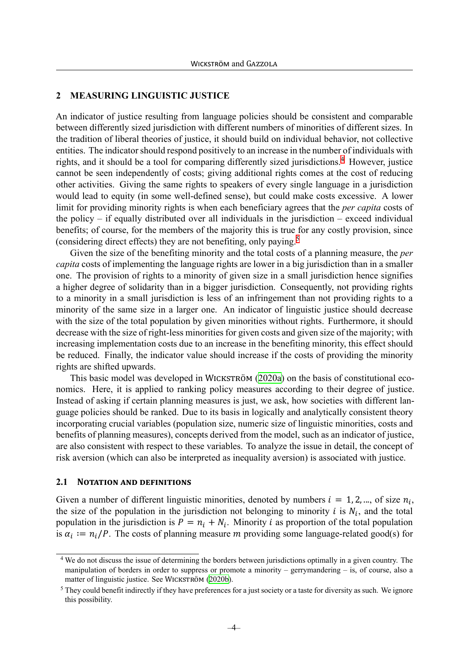#### <span id="page-4-0"></span>**2 MEASURING LINGUISTIC JUSTICE**

An indicator of justice resulting from language policies should be consistent and comparable between differently sized jurisdiction with different numbers of minorities of different sizes. In the tradition of liberal theories of justice, it should build on individual behavior, not collective entities. The indicator should respond positively to an increase in the number of individuals with rights, and it should be a tool for comparing differently sized jurisdictions.<sup>[4](#page-4-1)</sup> However, justice cannot be seen independently of costs; giving additional rights comes at the cost of reducing other activities. Giving the same rights to speakers of every single language in a jurisdiction would lead to equity (in some well-defined sense), but could make costs excessive. A lower limit for providing minority rights is when each beneficiary agrees that the *per capita* costs of the policy – if equally distributed over all individuals in the jurisdiction – exceed individual benefits; of course, for the members of the majority this is true for any costly provision, since (considering direct effects) they are not benefiting, only paying.[5](#page-4-2)

Given the size of the benefiting minority and the total costs of a planning measure, the *per capita* costs of implementing the language rights are lower in a big jurisdiction than in a smaller one. The provision of rights to a minority of given size in a small jurisdiction hence signifies a higher degree of solidarity than in a bigger jurisdiction. Consequently, not providing rights to a minority in a small jurisdiction is less of an infringement than not providing rights to a minority of the same size in a larger one. An indicator of linguistic justice should decrease with the size of the total population by given minorities without rights. Furthermore, it should decrease with the size of right-less minorities for given costs and given size of the majority; with increasing implementation costs due to an increase in the benefiting minority, this effect should be reduced. Finally, the indicator value should increase if the costs of providing the minority rights are shifted upwards.

This basic model was developed in WICKSTRÖM [\(2020a](#page-27-1)) on the basis of constitutional economics. Here, it is applied to ranking policy measures according to their degree of justice. Instead of asking if certain planning measures is just, we ask, how societies with different language policies should be ranked. Due to its basis in logically and analytically consistent theory incorporating crucial variables (population size, numeric size of linguistic minorities, costs and benefits of planning measures), concepts derived from the model, such as an indicator of justice, are also consistent with respect to these variables. To analyze the issue in detail, the concept of risk aversion (which can also be interpreted as inequality aversion) is associated with justice.

#### **2.1 NOTATION AND DEFINITIONS**

Given a number of different linguistic minorities, denoted by numbers  $i = 1, 2, ...$ , of size  $n_i$ , the size of the population in the jurisdiction not belonging to minority  $i$  is  $N_i$ , and the total population in the jurisdiction is  $P = n_i + N_i$ . Minority *i* as proportion of the total population is  $\alpha_i := n_i/P$ . The costs of planning measure m providing some language-related good(s) for

<span id="page-4-1"></span><sup>&</sup>lt;sup>4</sup> We do not discuss the issue of determining the borders between jurisdictions optimally in a given country. The manipulation of borders in order to suppress or promote a minority – gerrymandering – is, of course, also a matter of linguistic justice. See WICKSTRÖM [\(2020b](#page-27-0)).

<span id="page-4-2"></span> $<sup>5</sup>$  They could benefit indirectly if they have preferences for a just society or a taste for diversity as such. We ignore</sup> this possibility.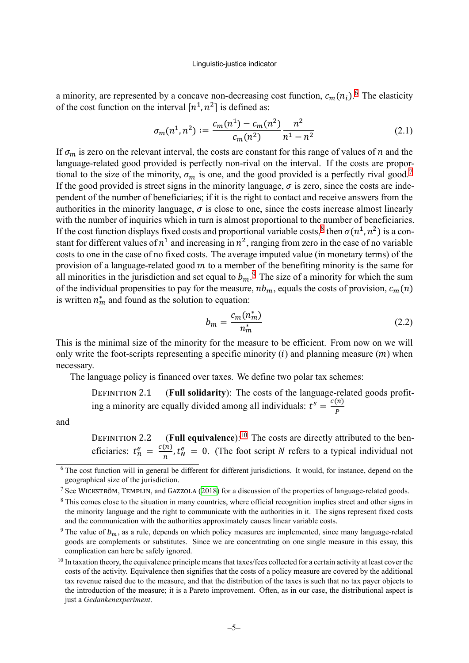a minority, are represented by a concave non-decreasing cost function,  $c_m(n_i)$ .<sup>[6](#page-5-0)</sup> The elasticity of the cost function on the interval  $[n^1, n^2]$  is defined as:

<span id="page-5-5"></span>
$$
\sigma_m(n^1, n^2) := \frac{c_m(n^1) - c_m(n^2)}{c_m(n^2)} \frac{n^2}{n^1 - n^2} \tag{2.1}
$$

If  $\sigma_m$  is zero on the relevant interval, the costs are constant for this range of values of *n* and the language-related good provided is perfectly non-rival on the interval. If the costs are proportional to the size of the minority,  $\sigma_m$  is one, and the good provided is a perfectly rival good.<sup>[7](#page-5-1)</sup> If the good provided is street signs in the minority language,  $\sigma$  is zero, since the costs are independent of the number of beneficiaries; if it is the right to contact and receive answers from the authorities in the minority language,  $\sigma$  is close to one, since the costs increase almost linearly with the number of inquiries which in turn is almost proportional to the number of beneficiaries. If the cost function displays fixed costs and proportional variable costs,<sup>[8](#page-5-2)</sup> then  $\sigma(n^1, n^2)$  is a constant for different values of  $n^1$  and increasing in  $n^2$ , ranging from zero in the case of no variable costs to one in the case of no fixed costs. The average imputed value (in monetary terms) of the provision of a language-related good  $m$  to a member of the benefiting minority is the same for all minorities in the jurisdiction and set equal to  $b_m$ .<sup>[9](#page-5-3)</sup> The size of a minority for which the sum of the individual propensities to pay for the measure,  $nb_m$ , equals the costs of provision,  $c_m(n)$ is written  $n_m^*$  and found as the solution to equation:

$$
b_m = \frac{c_m(n_m^*)}{n_m^*} \tag{2.2}
$$

This is the minimal size of the minority for the measure to be efficient. From now on we will only write the foot-scripts representing a specific minority  $(i)$  and planning measure  $(m)$  when necessary.

The language policy is financed over taxes. We define two polar tax schemes:

DEFINITION 2.1 (**Full solidarity**): The costs of the language-related goods profiting a minority are equally divided among all individuals:  $t^s = \frac{c(n)}{n}$  $\boldsymbol{P}$ 

and

DEFINITION 2.2 (Full equivalence):<sup>[10](#page-5-4)</sup> The costs are directly attributed to the beneficiaries:  $t_n^e = \frac{c(n)}{n}$  $\frac{(n)}{n}$ ,  $t_N^e = 0$ . (The foot script *N* refers to a typical individual not

<span id="page-5-0"></span><sup>&</sup>lt;sup>6</sup> The cost function will in general be different for different jurisdictions. It would, for instance, depend on the geographical size of the jurisdiction.

<span id="page-5-1"></span><sup>7</sup> See WICKSTRÖM, TEMPLIN, and GAZZOLA [\(2018](#page-27-2)) for a discussion of the properties of language-related goods.

<span id="page-5-2"></span><sup>&</sup>lt;sup>8</sup> This comes close to the situation in many countries, where official recognition implies street and other signs in the minority language and the right to communicate with the authorities in it. The signs represent fixed costs and the communication with the authorities approximately causes linear variable costs.

<span id="page-5-3"></span><sup>&</sup>lt;sup>9</sup> The value of  $b_m$ , as a rule, depends on which policy measures are implemented, since many language-related goods are complements or substitutes. Since we are concentrating on one single measure in this essay, this complication can here be safely ignored.

<span id="page-5-4"></span> $10$  In taxation theory, the equivalence principle means that taxes/fees collected for a certain activity at least cover the costs of the activity. Equivalence then signifies that the costs of a policy measure are covered by the additional tax revenue raised due to the measure, and that the distribution of the taxes is such that no tax payer objects to the introduction of the measure; it is a Pareto improvement. Often, as in our case, the distributional aspect is just a *Gedankenexperiment*.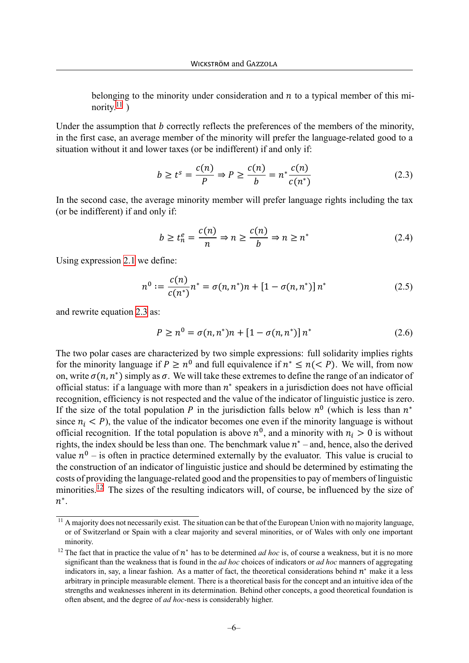belonging to the minority under consideration and  $n$  to a typical member of this minority. $^{11}$  $^{11}$  $^{11}$ )

Under the assumption that  $b$  correctly reflects the preferences of the members of the minority, in the first case, an average member of the minority will prefer the language-related good to a situation without it and lower taxes (or be indifferent) if and only if:

<span id="page-6-1"></span>
$$
b \ge t^s = \frac{c(n)}{P} \Rightarrow P \ge \frac{c(n)}{b} = n^* \frac{c(n)}{c(n^*)}
$$
 (2.3)

In the second case, the average minority member will prefer language rights including the tax (or be indifferent) if and only if:

<span id="page-6-3"></span>
$$
b \ge t_n^e = \frac{c(n)}{n} \Rightarrow n \ge \frac{c(n)}{b} \Rightarrow n \ge n^* \tag{2.4}
$$

Using expression [2.1](#page-5-5) we define:

$$
n^{0} := \frac{c(n)}{c(n^{*})} n^{*} = \sigma(n, n^{*}) n + [1 - \sigma(n, n^{*})] n^{*}
$$
 (2.5)

and rewrite equation [2.3](#page-6-1) as:

<span id="page-6-4"></span>
$$
P \ge n^0 = \sigma(n, n^*)n + [1 - \sigma(n, n^*)]n^*
$$
\n(2.6)

The two polar cases are characterized by two simple expressions: full solidarity implies rights for the minority language if  $P \geq n^0$  and full equivalence if  $n^* \leq n \leq P$ ). We will, from now on, write  $\sigma(n, n^*)$  simply as  $\sigma$ . We will take these extremes to define the range of an indicator of official status: if a language with more than  $n^*$  speakers in a jurisdiction does not have official recognition, efficiency is not respected and the value of the indicator of linguistic justice is zero. If the size of the total population P in the jurisdiction falls below  $n^0$  (which is less than  $n^*$ since  $n_i < P$ ), the value of the indicator becomes one even if the minority language is without official recognition. If the total population is above  $n^0$ , and a minority with  $n_i > 0$  is without rights, the index should be less than one. The benchmark value  $n^*$  – and, hence, also the derived value  $n^0$  – is often in practice determined externally by the evaluator. This value is crucial to the construction of an indicator of linguistic justice and should be determined by estimating the costs of providing the language-related good and the propensities to pay of members of linguistic minorities.<sup>[12](#page-6-2)</sup> The sizes of the resulting indicators will, of course, be influenced by the size of  $n^*$ .

<span id="page-6-0"></span> $11$  A majority does not necessarily exist. The situation can be that of the European Union with no majority language, or of Switzerland or Spain with a clear majority and several minorities, or of Wales with only one important minority.

<span id="page-6-2"></span><sup>&</sup>lt;sup>12</sup> The fact that in practice the value of  $n^*$  has to be determined *ad hoc* is, of course a weakness, but it is no more significant than the weakness that is found in the *ad hoc* choices of indicators or *ad hoc* manners of aggregating indicators in, say, a linear fashion. As a matter of fact, the theoretical considerations behind  $n^*$  make it a less arbitrary in principle measurable element. There is a theoretical basis for the concept and an intuitive idea of the strengths and weaknesses inherent in its determination. Behind other concepts, a good theoretical foundation is often absent, and the degree of *ad hoc*-ness is considerably higher.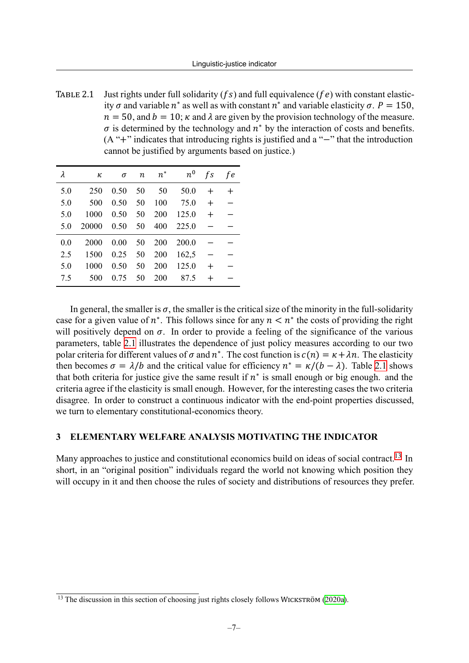<span id="page-7-1"></span>TABLE 2.1 Just rights under full solidarity ( $fs$ ) and full equivalence ( $fe$ ) with constant elasticity  $\sigma$  and variable  $n^*$  as well as with constant  $n^*$  and variable elasticity  $\sigma$ .  $P = 150$ ,  $n = 50$ , and  $b = 10$ ;  $\kappa$  and  $\lambda$  are given by the provision technology of the measure.  $\sigma$  is determined by the technology and  $n^*$  by the interaction of costs and benefits. (A "+" indicates that introducing rights is justified and a "−" that the introduction cannot be justified by arguments based on justice.)

| λ   | κ     | $\sigma$ | $\boldsymbol{n}$ | $n^*$ | $n^0$ | fs     | f e   |
|-----|-------|----------|------------------|-------|-------|--------|-------|
| 5.0 | 250   | 0.50     | 50               | 50    | 50.0  | $\div$ | $\pm$ |
| 5.0 | 500   | 0.50     | 50               | 100   | 75.0  | $^{+}$ |       |
| 5.0 | 1000  | 0.50     | 50               | 200   | 125.0 | $+$    |       |
| 5.0 | 20000 | 0.50     | 50               | 400   | 225.0 |        |       |
| 0.0 | 2000  | 0.00     | 50               | 200   | 200.0 |        |       |
| 2.5 | 1500  | 0.25     | 50               | 200   | 162,5 |        |       |
| 5.0 | 1000  | 0.50     | 50               | 200   | 125.0 | $^{+}$ |       |
| 7.5 | 500   | 0.75     | 50               | 200   | 87.5  | $\pm$  |       |

In general, the smaller is  $\sigma$ , the smaller is the critical size of the minority in the full-solidarity case for a given value of  $n^*$ . This follows since for any  $n < n^*$  the costs of providing the right will positively depend on  $\sigma$ . In order to provide a feeling of the significance of the various parameters, table [2.1](#page-7-1) illustrates the dependence of just policy measures according to our two polar criteria for different values of  $\sigma$  and  $n^*$ . The cost function is  $c(n) = \kappa + \lambda n$ . The elasticity then becomes  $\sigma = \lambda/b$  and the critical value for efficiency  $n^* = \kappa/(b - \lambda)$ . Table [2.1](#page-7-1) shows that both criteria for justice give the same result if  $n^*$  is small enough or big enough. and the criteria agree if the elasticity is small enough. However, for the interesting cases the two criteria disagree. In order to construct a continuous indicator with the end-point properties discussed, we turn to elementary constitutional-economics theory.

#### <span id="page-7-0"></span>**3 ELEMENTARY WELFARE ANALYSIS MOTIVATING THE INDICATOR**

Many approaches to justice and constitutional economics build on ideas of social contract.<sup>[13](#page-7-2)</sup> In short, in an "original position" individuals regard the world not knowing which position they will occupy in it and then choose the rules of society and distributions of resources they prefer.

<span id="page-7-2"></span> $13$  The discussion in this section of choosing just rights closely follows WICKSTRÖM ([2020a](#page-27-1)).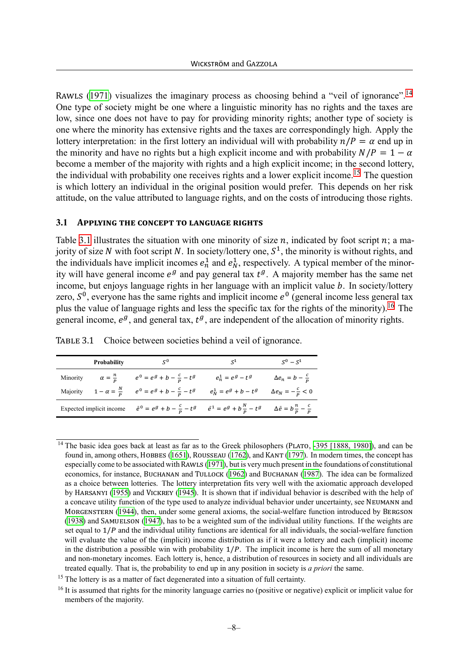RAWLS ([1971\)](#page-26-8) visualizes the imaginary process as choosing behind a "veil of ignorance".<sup>[14](#page-8-1)</sup> One type of society might be one where a linguistic minority has no rights and the taxes are low, since one does not have to pay for providing minority rights; another type of society is one where the minority has extensive rights and the taxes are correspondingly high. Apply the lottery interpretation: in the first lottery an individual will with probability  $n/P = \alpha$  end up in the minority and have no rights but a high explicit income and with probability  $N/P = 1 - \alpha$ become a member of the majority with rights and a high explicit income; in the second lottery, the individual with probability one receives rights and a lower explicit income.<sup>[15](#page-8-2)</sup> The question is which lottery an individual in the original position would prefer. This depends on her risk attitude, on the value attributed to language rights, and on the costs of introducing those rights.

#### <span id="page-8-0"></span>**3.1 APPLYING THE CONCEPT TO LANGUAGE RIGHTS**

Table [3.1](#page-8-3) illustrates the situation with one minority of size  $n$ , indicated by foot script  $n$ ; a majority of size N with foot script N. In society/lottery one,  $S<sup>1</sup>$ , the minority is without rights, and the individuals have implicit incomes  $e_n^1$  and  $e_N^1$ , respectively. A typical member of the minority will have general income  $e^g$  and pay general tax  $t^g$ . A majority member has the same net income, but enjoys language rights in her language with an implicit value  $b$ . In society/lottery zero,  $S^0$ , everyone has the same rights and implicit income  $e^0$  (general income less general tax plus the value of language rights and less the specific tax for the rights of the minority).[16](#page-8-4) The general income,  $e^g$ , and general tax,  $t^g$ , are independent of the allocation of minority rights.

| Probability              | $S^0$                                                                                                                          | $S^1$                         | $S^0 - S^1$                     |
|--------------------------|--------------------------------------------------------------------------------------------------------------------------------|-------------------------------|---------------------------------|
|                          | Minority $\alpha = \frac{n}{p}$ $e^0 = e^g + b - \frac{c}{p} - t^g$                                                            | $e_n^1=e^g-t^g$               | $\Delta e_n = b - \frac{c}{p}$  |
|                          | Majority $1 - \alpha = \frac{N}{P}$ $e^0 = e^g + b - \frac{c}{P} - t^g$                                                        | $e_N^{\mathbbm{1}}=e^g+b-t^g$ | $\Delta e_N = -\frac{c}{p} < 0$ |
| Expected implicit income | $\bar{e}^0 = e^g + b - \frac{c}{p} - t^g$ $\bar{e}^1 = e^g + b\frac{N}{p} - t^g$ $\Delta \bar{e} = b\frac{n}{p} - \frac{c}{p}$ |                               |                                 |

<span id="page-8-3"></span>TABLE 3.1 Choice between societies behind a veil of ignorance.

<span id="page-8-1"></span><sup>&</sup>lt;sup>14</sup> The basic idea goes back at least as far as to the Greek philosophers (PLATO, [-395 \[1888, 1980\]](#page-26-9)), and can be found in, among others, HOBBES [\(1651\)](#page-25-6), ROUSSEAU ([1762\)](#page-26-10), and KANT [\(1797](#page-25-7)). In modern times, the concept has especially come to be associated with RAWLS ([1971\)](#page-26-8), but is very much present in the foundations of constitutional economics, for instance, BUCHANAN and TULLOCK ([1962](#page-24-5)) and BUCHANAN [\(1987\)](#page-24-6). The idea can be formalized as a choice between lotteries. The lottery interpretation fits very well with the axiomatic approach developed by HARSANYI ([1955\)](#page-25-8) and VICKREY ([1945](#page-27-3)). It is shown that if individual behavior is described with the help of a concave utility function of the type used to analyze individual behavior under uncertainty, see NEUMANN and MORGENSTERN [\(1944](#page-25-9)), then, under some general axioms, the social-welfare function introduced by BERGSON [\(1938](#page-24-7)) and SAMUELSON [\(1947](#page-26-11)), has to be a weighted sum of the individual utility functions. If the weights are set equal to  $1/P$  and the individual utility functions are identical for all individuals, the social-welfare function will evaluate the value of the (implicit) income distribution as if it were a lottery and each (implicit) income in the distribution a possible win with probability  $1/P$ . The implicit income is here the sum of all monetary and non-monetary incomes. Each lottery is, hence, a distribution of resources in society and all individuals are treated equally. That is, the probability to end up in any position in society is *a priori* the same.

<span id="page-8-2"></span><sup>&</sup>lt;sup>15</sup> The lottery is as a matter of fact degenerated into a situation of full certainty.

<span id="page-8-4"></span><sup>&</sup>lt;sup>16</sup> It is assumed that rights for the minority language carries no (positive or negative) explicit or implicit value for members of the majority.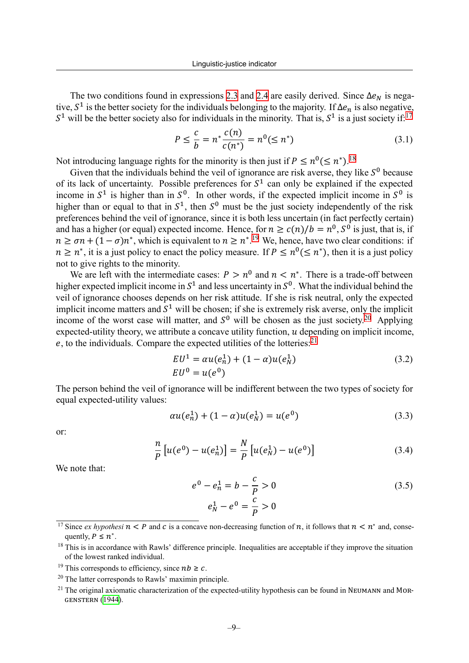The two conditions found in expressions [2.3](#page-6-1) and [2.4](#page-6-3) are easily derived. Since  $\Delta e_N$  is negative,  $S^1$  is the better society for the individuals belonging to the majority. If  $\Delta e_n$  is also negative,  $S<sup>1</sup>$  will be the better society also for individuals in the minority. That is,  $S<sup>1</sup>$  is a just society if:<sup>[17](#page-9-0)</sup>

$$
P \le \frac{c}{b} = n^* \frac{c(n)}{c(n^*)} = n^0 (\le n^*)
$$
\n(3.1)

Not introducing language rights for the minority is then just if  $P \leq n^0 (\leq n^*)$ .<sup>[18](#page-9-1)</sup>

Given that the individuals behind the veil of ignorance are risk averse, they like  $S^0$  because of its lack of uncertainty. Possible preferences for  $S<sup>1</sup>$  can only be explained if the expected income in  $S^1$  is higher than in  $S^0$ . In other words, if the expected implicit income in  $S^0$  is higher than or equal to that in  $S^1$ , then  $S^0$  must be the just society independently of the risk preferences behind the veil of ignorance, since it is both less uncertain (in fact perfectly certain) and has a higher (or equal) expected income. Hence, for  $n \ge c(n)/b = n^0$ ,  $S^0$  is just, that is, if  $n \ge \sigma n + (1 - \sigma)n^*$ , which is equivalent to  $n \ge n^{*}$ .<sup>[19](#page-9-2)</sup> We, hence, have two clear conditions: if  $n \geq n^*$ , it is a just policy to enact the policy measure. If  $P \leq n^0 (\leq n^*)$ , then it is a just policy not to give rights to the minority.

We are left with the intermediate cases:  $P > n^0$  and  $n < n^*$ . There is a trade-off between higher expected implicit income in  $S^1$  and less uncertainty in  $S^0$ . What the individual behind the veil of ignorance chooses depends on her risk attitude. If she is risk neutral, only the expected implicit income matters and  $S<sup>1</sup>$  will be chosen; if she is extremely risk averse, only the implicit income of the worst case will matter, and  $S^0$  will be chosen as the just society.<sup>[20](#page-9-3)</sup> Applying expected-utility theory, we attribute a concave utility function,  $u$  depending on implicit income, e, to the individuals. Compare the expected utilities of the lotteries:  $2<sup>1</sup>$ 

$$
EU^1 = \alpha u(e_n^1) + (1 - \alpha)u(e_N^1)
$$
  
\n
$$
EU^0 = u(e^0)
$$
\n(3.2)

The person behind the veil of ignorance will be indifferent between the two types of society for equal expected-utility values:

$$
\alpha u(e_n^1) + (1 - \alpha)u(e_N^1) = u(e^0)
$$
\n(3.3)

or:

$$
\frac{n}{P}\left[u(e^{0}) - u(e_{n}^{1})\right] = \frac{N}{P}\left[u(e_{N}^{1}) - u(e^{0})\right]
$$
\n(3.4)

We note that:

<span id="page-9-5"></span>
$$
e^{0} - e_{n}^{1} = b - \frac{c}{P} > 0
$$
\n
$$
e_{N}^{1} - e^{0} = \frac{c}{P} > 0
$$
\n(3.5)

<span id="page-9-0"></span><sup>&</sup>lt;sup>17</sup> Since *ex hypothesi*  $n < P$  and *c* is a concave non-decreasing function of *n*, it follows that  $n < n^*$  and, consequently,  $P \leq n^*$ .

<span id="page-9-1"></span> $18$  This is in accordance with Rawls' difference principle. Inequalities are acceptable if they improve the situation of the lowest ranked individual.

<span id="page-9-2"></span><sup>&</sup>lt;sup>19</sup> This corresponds to efficiency, since  $nb \geq c$ .

<span id="page-9-3"></span><sup>20</sup> The latter corresponds to Rawls' maximin principle.

<span id="page-9-4"></span><sup>&</sup>lt;sup>21</sup> The original axiomatic characterization of the expected-utility hypothesis can be found in NEUMANN and MOR-GENSTERN ([1944\)](#page-25-9).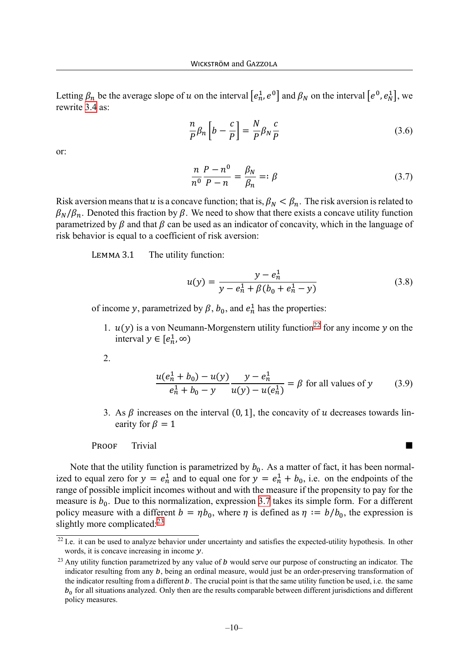Letting  $\beta_n$  be the average slope of u on the interval  $[e_n^1, e^0]$  and  $\beta_N$  on the interval  $[e^0, e_N^1]$ , we rewrite [3.4](#page-9-5) as:

$$
\frac{n}{P}\beta_n \left[ b - \frac{c}{P} \right] = \frac{N}{P}\beta_N \frac{c}{P}
$$
\n(3.6)

or:

<span id="page-10-1"></span>
$$
\frac{n}{n^0}\frac{P-n^0}{P-n} = \frac{\beta_N}{\beta_n} =: \beta
$$
\n(3.7)

Risk aversion means that u is a concave function; that is,  $\beta_N < \beta_n$ . The risk aversion is related to  $\beta_N/\beta_n$ . Denoted this fraction by  $\beta$ . We need to show that there exists a concave utility function parametrized by  $\beta$  and that  $\beta$  can be used as an indicator of concavity, which in the language of risk behavior is equal to a coefficient of risk aversion:

LEMMA 3.1 The utility function:

$$
u(y) = \frac{y - e_n^1}{y - e_n^1 + \beta(b_0 + e_n^1 - y)}
$$
(3.8)

of income y, parametrized by  $\beta$ ,  $b_0$ , and  $e_n^1$  has the properties:

1.  $u(y)$  is a von Neumann-Morgenstern utility function<sup>[22](#page-10-0)</sup> for any income y on the interval  $y \in [e_n^1, \infty)$ 

2.

$$
\frac{u(e_n^1 + b_0) - u(y)}{e_n^1 + b_0 - y} \frac{y - e_n^1}{u(y) - u(e_n^1)} = \beta \text{ for all values of } y \tag{3.9}
$$

3. As  $\beta$  increases on the interval (0, 1], the concavity of  $u$  decreases towards linearity for  $\beta = 1$ 

PROOF Trivial and the set of the set of the set of the set of the set of the set of the set of the set of the set of the set of the set of the set of the set of the set of the set of the set of the set of the set of the se

Note that the utility function is parametrized by  $b_0$ . As a matter of fact, it has been normalized to equal zero for  $y = e_n^1$  and to equal one for  $y = e_n^1 + b_0$ , i.e. on the endpoints of the range of possible implicit incomes without and with the measure if the propensity to pay for the measure is  $b_0$ . Due to this normalization, expression [3.7](#page-10-1) takes its simple form. For a different policy measure with a different  $b = \eta b_0$ , where  $\eta$  is defined as  $\eta := b/b_0$ , the expression is slightly more complicated: $23$ 

<span id="page-10-0"></span><sup>&</sup>lt;sup>22</sup> I.e. it can be used to analyze behavior under uncertainty and satisfies the expected-utility hypothesis. In other words, it is concave increasing in income  $y$ .

<span id="page-10-2"></span> $^{23}$  Any utility function parametrized by any value of  $\bm{b}$  would serve our purpose of constructing an indicator. The indicator resulting from any  $b$ , being an ordinal measure, would just be an order-preserving transformation of the indicator resulting from a different  $b$ . The crucial point is that the same utility function be used, i.e. the same  $b_0$  for all situations analyzed. Only then are the results comparable between different jurisdictions and different policy measures.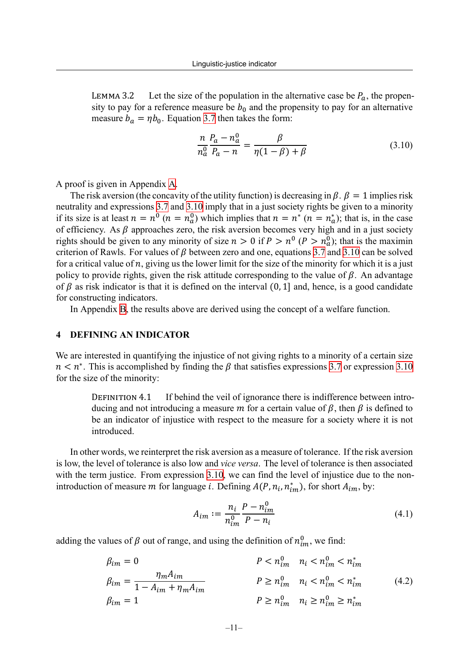LEMMA 3.2 Let the size of the population in the alternative case be  $P_a$ , the propensity to pay for a reference measure be  $b_0$  and the propensity to pay for an alternative measure  $b_a = \eta b_0$ . Equation [3.7](#page-10-1) then takes the form:

<span id="page-11-1"></span>
$$
\frac{n}{n_a^0} \frac{P_a - n_a^0}{P_a - n} = \frac{\beta}{\eta(1 - \beta) + \beta} \tag{3.10}
$$

A proof is given in Appendix [A.](#page-21-1)

The risk aversion (the concavity of the utility function) is decreasing in  $\beta$ .  $\beta = 1$  implies risk neutrality and expressions [3.7](#page-10-1) and [3.10](#page-11-1) imply that in a just society rights be given to a minority if its size is at least  $n = n^0$   $(n = n_a^0)$  which implies that  $n = n^*$   $(n = n_a^*)$ ; that is, in the case of efficiency. As  $\beta$  approaches zero, the risk aversion becomes very high and in a just society rights should be given to any minority of size  $n > 0$  if  $P > n^0$  ( $P > n^0$ ); that is the maximin criterion of Rawls. For values of  $\beta$  between zero and one, equations [3.7](#page-10-1) and [3.10](#page-11-1) can be solved for a critical value of  $n$ , giving us the lower limit for the size of the minority for which it is a just policy to provide rights, given the risk attitude corresponding to the value of  $\beta$ . An advantage of  $\beta$  as risk indicator is that it is defined on the interval (0, 1] and, hence, is a good candidate for constructing indicators.

In Appendix [B](#page-21-0), the results above are derived using the concept of a welfare function.

#### <span id="page-11-0"></span>**4 DEFINING AN INDICATOR**

We are interested in quantifying the injustice of not giving rights to a minority of a certain size  $n < n^*$ . This is accomplished by finding the  $\beta$  that satisfies expressions [3.7](#page-10-1) or expression [3.10](#page-11-1) for the size of the minority:

DEFINITION 4.1 If behind the veil of ignorance there is indifference between introducing and not introducing a measure m for a certain value of  $\beta$ , then  $\beta$  is defined to be an indicator of injustice with respect to the measure for a society where it is not introduced.

In other words, we reinterpret the risk aversion as a measure of tolerance. If the risk aversion is low, the level of tolerance is also low and *vice versa*. The level of tolerance is then associated with the term justice. From expression [3.10,](#page-11-1) we can find the level of injustice due to the nonintroduction of measure m for language *i*. Defining  $A(P, n_i, n_{im}^*)$ , for short  $A_{im}$ , by:

<span id="page-11-3"></span><span id="page-11-2"></span>
$$
A_{im} := \frac{n_i}{n_{im}^0} \frac{P - n_{im}^0}{P - n_i}
$$
\n(4.1)

adding the values of  $\beta$  out of range, and using the definition of  $n_{im}^0$ , we find:

$$
\beta_{im} = 0 \qquad P < n_{im}^0 \qquad n_i < n_{im}^0 < n_{im}^* \n\beta_{im} = \frac{\eta_m A_{im}}{1 - A_{im} + \eta_m A_{im}} \qquad P \ge n_{im}^0 \qquad n_i < n_{im}^0 < n_{im}^* \nP \ge n_{im}^0 \qquad n_i \ge n_{im}^0 \ge n_{im}^* \qquad (4.2)
$$
\n
$$
\beta_{im} = 1 \qquad P \ge n_{im}^0 \qquad n_i \ge n_{im}^0 \ge n_{im}^*
$$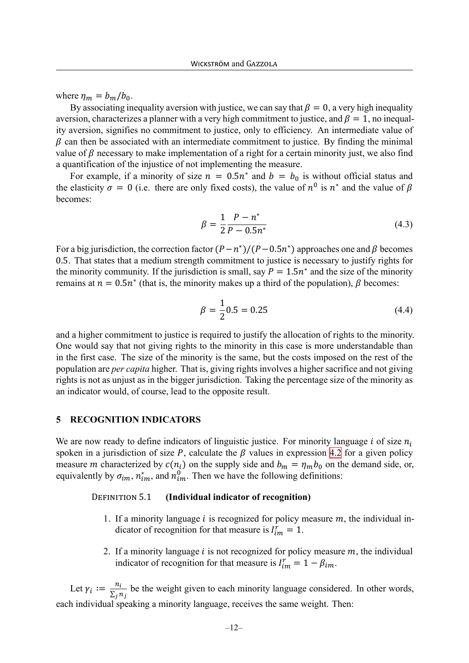where  $\eta_m = b_m/b_0$ .

By associating inequality aversion with justice, we can say that  $\beta = 0$ , a very high inequality aversion, characterizes a planner with a very high commitment to justice, and  $\beta = 1$ , no inequality aversion, signifies no commitment to justice, only to efficiency. An intermediate value of  $\beta$  can then be associated with an intermediate commitment to justice. By finding the minimal value of  $\beta$  necessary to make implementation of a right for a certain minority just, we also find a quantification of the injustice of not implementing the measure.

For example, if a minority of size  $n = 0.5n^*$  and  $b = b_0$  is without official status and the elasticity  $\sigma = 0$  (i.e. there are only fixed costs), the value of  $n^0$  is  $n^*$  and the value of  $\beta$ becomes:

$$
\beta = \frac{1}{2} \frac{P - n^*}{P - 0.5 n^*}
$$
\n(4.3)

For a big jurisdiction, the correction factor  $(P - n^*)/(P - 0.5n^*)$  approaches one and  $\beta$  becomes 0.5. That states that a medium strength commitment to justice is necessary to justify rights for the minority community. If the jurisdiction is small, say  $P = 1.5n^*$  and the size of the minority remains at  $n = 0.5n^*$  (that is, the minority makes up a third of the population),  $\beta$  becomes:

$$
\beta = \frac{1}{2}0.5 = 0.25\tag{4.4}
$$

and a higher commitment to justice is required to justify the allocation of rights to the minority. One would say that not giving rights to the minority in this case is more understandable than in the first case. The size of the minority is the same, but the costs imposed on the rest of the population are *per capita* higher. That is, giving rights involves a higher sacrifice and not giving rights is not as unjust as in the bigger jurisdiction. Taking the percentage size of the minority as an indicator would, of course, lead to the opposite result.

#### <span id="page-12-0"></span>**5 RECOGNITION INDICATORS**

We are now ready to define indicators of linguistic justice. For minority language i of size  $n_i$ spoken in a jurisdiction of size P, calculate the  $\beta$  values in expression [4.2](#page-11-2) for a given policy measure *m* characterized by  $c(n_i)$  on the supply side and  $b_m = \eta_m b_0$  on the demand side, or, equivalently by  $\sigma_{im}$ ,  $n^*_{im}$ , and  $n^0_{im}$ . Then we have the following definitions:

#### DEFINITION 5.1 **(Individual indicator of recognition)**

- 1. If a minority language *i* is recognized for policy measure  $m$ , the individual indicator of recognition for that measure is  $I_{im}^r = 1$ .
- 2. If a minority language  $i$  is not recognized for policy measure  $m$ , the individual indicator of recognition for that measure is  $I_{im}^r = 1 - \beta_{im}$ .

Let  $\gamma_i := \frac{n_i}{\sum_i j_i}$  $\frac{n_l}{\sum_j n_j}$  be the weight given to each minority language considered. In other words, each individual speaking a minority language, receives the same weight. Then: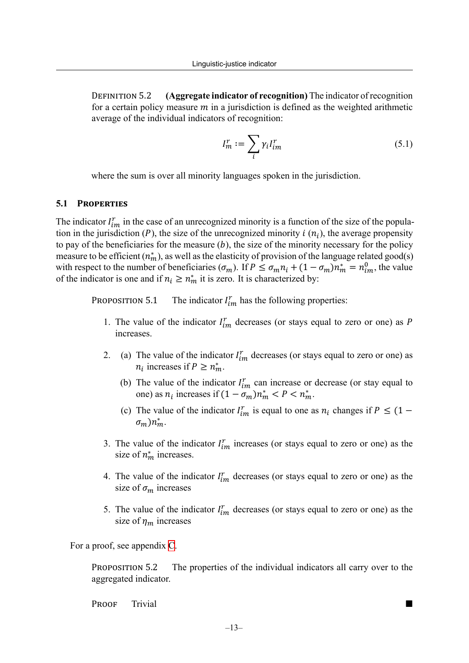DEFINITION 5.2 **(Aggregate indicator of recognition)** The indicator of recognition for a certain policy measure  $m$  in a jurisdiction is defined as the weighted arithmetic average of the individual indicators of recognition:

$$
I_m^r := \sum_i \gamma_i I_{im}^r \tag{5.1}
$$

where the sum is over all minority languages spoken in the jurisdiction.

#### <span id="page-13-0"></span>**5.1 PROPERTIES**

The indicator  $I_{im}^r$  in the case of an unrecognized minority is a function of the size of the population in the jurisdiction (P), the size of the unrecognized minority  $i(n_i)$ , the average propensity to pay of the beneficiaries for the measure  $(b)$ , the size of the minority necessary for the policy measure to be efficient  $(n_m^*)$ , as well as the elasticity of provision of the language related good(s) with respect to the number of beneficiaries  $(\sigma_m)$ . If  $P \le \sigma_m n_i + (1 - \sigma_m) n_m^* = n_{im}^0$ , the value of the indicator is one and if  $n_i \geq n_m^*$  it is zero. It is characterized by:

<span id="page-13-1"></span>PROPOSITION 5.1  $\int_{i}^{r}$  has the following properties:

- 1. The value of the indicator  $I_{im}^r$  decreases (or stays equal to zero or one) as P increases.
- 2. (a) The value of the indicator  $I_{im}^r$  decreases (or stays equal to zero or one) as  $n_i$  increases if  $P \geq n_m^*$ .
	- (b) The value of the indicator  $I_{im}^r$  can increase or decrease (or stay equal to one) as  $n_i$  increases if  $(1 - \sigma_m)n_m^* < P < n_m^*$ .
	- (c) The value of the indicator  $I_{im}^r$  is equal to one as  $n_i$  changes if  $P \leq (1 \sigma_m$ ) $n_m^*$ .
- 3. The value of the indicator  $I_{im}^r$  increases (or stays equal to zero or one) as the size of  $n_m^*$  increases.
- 4. The value of the indicator  $I_{im}^r$  decreases (or stays equal to zero or one) as the size of  $\sigma_m$  increases
- 5. The value of the indicator  $I_{im}^r$  decreases (or stays equal to zero or one) as the size of  $\eta_m$  increases

For a proof, see appendix [C.](#page-22-0)

PROPOSITION 5.2 The properties of the individual indicators all carry over to the aggregated indicator.

PROOF Trivial and the set of the set of the set of the set of the set of the set of the set of the set of the set of the set of the set of the set of the set of the set of the set of the set of the set of the set of the se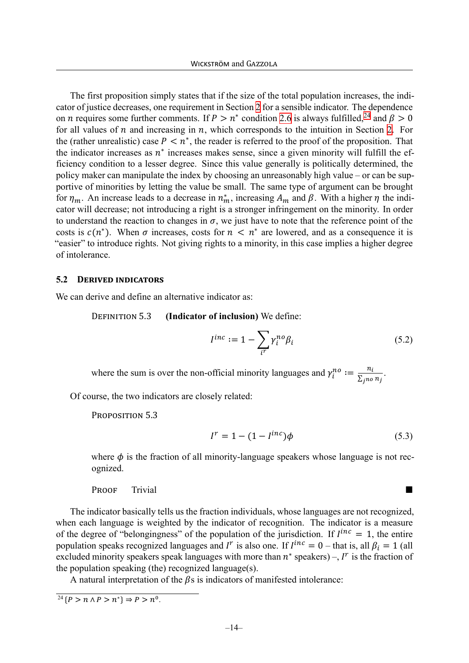The first proposition simply states that if the size of the total population increases, the indicator of justice decreases, one requirement in Section [2](#page-4-0) for a sensible indicator. The dependence on *n* requires some further comments. If  $P > n^*$  condition [2.6](#page-6-4) is always fulfilled,<sup>[24](#page-14-1)</sup> and  $\beta > 0$ for all values of  $n$  and increasing in  $n$ , which corresponds to the intuition in Section [2.](#page-4-0) For the (rather unrealistic) case  $P \leq n^*$ , the reader is referred to the proof of the proposition. That the indicator increases as  $n^*$  increases makes sense, since a given minority will fulfill the efficiency condition to a lesser degree. Since this value generally is politically determined, the policy maker can manipulate the index by choosing an unreasonably high value – or can be supportive of minorities by letting the value be small. The same type of argument can be brought for  $\eta_m$ . An increase leads to a decrease in  $n_m^*$ , increasing  $A_m$  and  $\beta$ . With a higher  $\eta$  the indicator will decrease; not introducing a right is a stronger infringement on the minority. In order to understand the reaction to changes in  $\sigma$ , we just have to note that the reference point of the costs is  $c(n^*)$ . When  $\sigma$  increases, costs for  $n \leq n^*$  are lowered, and as a consequence it is "easier" to introduce rights. Not giving rights to a minority, in this case implies a higher degree of intolerance.

#### <span id="page-14-0"></span>**5.2 DERIVED INDICATORS**

We can derive and define an alternative indicator as:

DEFINITION 5.3 **(Indicator of inclusion)** We define:

$$
I^{inc} := 1 - \sum_{i'} \gamma_i^{no} \beta_i \tag{5.2}
$$

where the sum is over the non-official minority languages and  $\gamma_i^{no} := \frac{n_i}{\sum n_i}$  $\frac{n_l}{\sum_{j\neq o} n_j}$ .

Of course, the two indicators are closely related:

PROPOSITION 5.3

$$
I^r = 1 - (1 - I^{inc})\phi \tag{5.3}
$$

where  $\phi$  is the fraction of all minority-language speakers whose language is not recognized.

PROOF Trivial and the set of the set of the set of the set of the set of the set of the set of the set of the set of the set of the set of the set of the set of the set of the set of the set of the set of the set of the se

The indicator basically tells us the fraction individuals, whose languages are not recognized, when each language is weighted by the indicator of recognition. The indicator is a measure of the degree of "belongingness" of the population of the jurisdiction. If  $I^{inc} = 1$ , the entire population speaks recognized languages and  $I^r$  is also one. If  $I^{inc} = 0$  – that is, all  $\beta_i = 1$  (all excluded minority speakers speak languages with more than  $n^*$  speakers) –,  $I^r$  is the fraction of the population speaking (the) recognized language(s).

A natural interpretation of the  $\beta$ s is indicators of manifested intolerance:

<span id="page-14-1"></span> $^{24}$  { $P > n \wedge P > n^*$ }  $\Rightarrow P > n^0$ .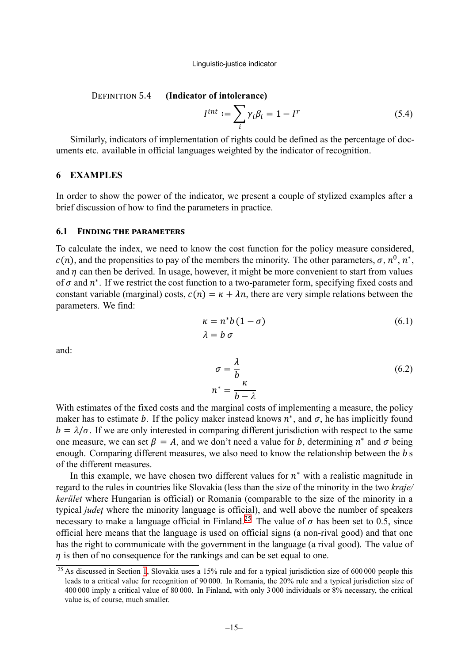#### DEFINITION 5.4 **(Indicator of intolerance)**

$$
I^{int} := \sum_{i} \gamma_i \beta_i = 1 - I^r \tag{5.4}
$$

Similarly, indicators of implementation of rights could be defined as the percentage of documents etc. available in official languages weighted by the indicator of recognition.

#### <span id="page-15-0"></span>**6 EXAMPLES**

In order to show the power of the indicator, we present a couple of stylized examples after a brief discussion of how to find the parameters in practice.

#### **6.1 FINDING THE PARAMETERS**

To calculate the index, we need to know the cost function for the policy measure considered,  $c(n)$ , and the propensities to pay of the members the minority. The other parameters,  $\sigma$ ,  $n^0$ ,  $n^*$ , and  $\eta$  can then be derived. In usage, however, it might be more convenient to start from values of  $\sigma$  and  $n^*$ . If we restrict the cost function to a two-parameter form, specifying fixed costs and constant variable (marginal) costs,  $c(n) = \kappa + \lambda n$ , there are very simple relations between the parameters. We find:

$$
\begin{aligned} \kappa &= n^*b\left(1-\sigma\right) \\ \lambda &= b\,\sigma \end{aligned} \tag{6.1}
$$

and:

$$
\sigma = \frac{\lambda}{b}
$$
  

$$
n^* = \frac{\kappa}{b - \lambda}
$$
 (6.2)

With estimates of the fixed costs and the marginal costs of implementing a measure, the policy maker has to estimate b. If the policy maker instead knows  $n^*$ , and  $\sigma$ , he has implicitly found  $b = \lambda/\sigma$ . If we are only interested in comparing different jurisdiction with respect to the same one measure, we can set  $\beta = A$ , and we don't need a value for b, determining  $n^*$  and  $\sigma$  being enough. Comparing different measures, we also need to know the relationship between the b s of the different measures.

In this example, we have chosen two different values for  $n^*$  with a realistic magnitude in regard to the rules in countries like Slovakia (less than the size of the minority in the two *kraje/ kerület* where Hungarian is official) or Romania (comparable to the size of the minority in a typical *județ* where the minority language is official), and well above the number of speakers necessary to make a language official in Finland.<sup>[25](#page-15-1)</sup> The value of  $\sigma$  has been set to 0.5, since official here means that the language is used on official signs (a non-rival good) and that one has the right to communicate with the government in the language (a rival good). The value of  $\eta$  is then of no consequence for the rankings and can be set equal to one.

<span id="page-15-1"></span><sup>&</sup>lt;sup>25</sup> As discussed in Section [1,](#page-2-1) Slovakia uses a 15% rule and for a typical jurisdiction size of 600 000 people this leads to a critical value for recognition of 90 000. In Romania, the 20% rule and a typical jurisdiction size of 400 000 imply a critical value of 80 000. In Finland, with only 3 000 individuals or 8% necessary, the critical value is, of course, much smaller.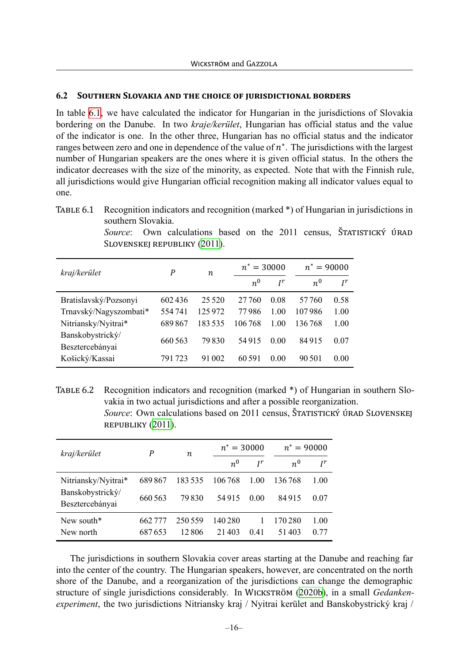#### **6.2 SOUTHERN SLOVAKIA AND THE CHOICE OF JURISDICTIONAL BORDERS**

In table [6.1,](#page-16-0) we have calculated the indicator for Hungarian in the jurisdictions of Slovakia bordering on the Danube. In two *kraje/kerület*, Hungarian has official status and the value of the indicator is one. In the other three, Hungarian has no official status and the indicator ranges between zero and one in dependence of the value of  $n^*$ . The jurisdictions with the largest number of Hungarian speakers are the ones where it is given official status. In the others the indicator decreases with the size of the minority, as expected. Note that with the Finnish rule, all jurisdictions would give Hungarian official recognition making all indicator values equal to one.

<span id="page-16-0"></span>TABLE 6.1 Recognition indicators and recognition (marked \*) of Hungarian in jurisdictions in southern Slovakia.

*Source*: Own calculations based on the 2011 census, ŠTATISTICKÝ ÚRAD SLOVENSKEJ REPUBLIKY [\(2011\)](#page-26-12).

| kraj/kerület                        | P       | n       |        | $n^* = 30000$ |        | $n^* = 90000$ |  |
|-------------------------------------|---------|---------|--------|---------------|--------|---------------|--|
|                                     |         |         | $n^0$  | $I^r$         | $n^0$  | $I^r$         |  |
| Bratislavský/Pozsonyi               | 602436  | 25 5 20 | 27.760 | 0.08          | 57 760 | 0.58          |  |
| Trnavský/Nagyszombati*              | 554741  | 125 972 | 77986  | 1.00          | 107986 | 1.00          |  |
| Nitriansky/Nyitrai*                 | 689867  | 183535  | 106768 | 1.00          | 136768 | 1.00          |  |
| Banskobystrický/<br>Besztercebányai | 660 563 | 79830   | 54915  | 0.00          | 84915  | 0.07          |  |
| Košický/Kassai                      | 791 723 | 91 002  | 60 591 | 0.00          | 90.501 | 0.00          |  |

<span id="page-16-1"></span>TABLE 6.2 Recognition indicators and recognition (marked \*) of Hungarian in southern Slovakia in two actual jurisdictions and after a possible reorganization. *Source*: Own calculations based on 2011 census, ŠTATISTICKÝ ÚRAD SLOVENSKEJ REPUBLIKY ([2011](#page-26-12)).

| kraj/kerület                        | P       | n       |         | $n^* = 30000$ | $n^* = 90000$ |       |
|-------------------------------------|---------|---------|---------|---------------|---------------|-------|
|                                     |         |         | $n^0$   | $I^r$         | $n^0$         | $I^r$ |
| Nitriansky/Nyitrai*                 | 689867  | 183535  | 106 768 | 1 00          | 136768        | 1.00  |
| Banskobystrický/<br>Besztercebányai | 660 563 | 79830   | 54915   | 0.00          | 84915         | 0.07  |
| New south $*$                       | 662 777 | 250 559 | 140 280 |               | 170 280       | 1.00  |
| New north                           | 687653  | 12.806  | 21403   | 0.41          | 51403         | 0.77  |

The jurisdictions in southern Slovakia cover areas starting at the Danube and reaching far into the center of the country. The Hungarian speakers, however, are concentrated on the north shore of the Danube, and a reorganization of the jurisdictions can change the demographic structure of single jurisdictions considerably. In WICKSTRÖM ([2020b\)](#page-27-0), in a small *Gedankenexperiment*, the two jurisdictions Nitriansky kraj / Nyitrai kerület and Banskobystrický kraj /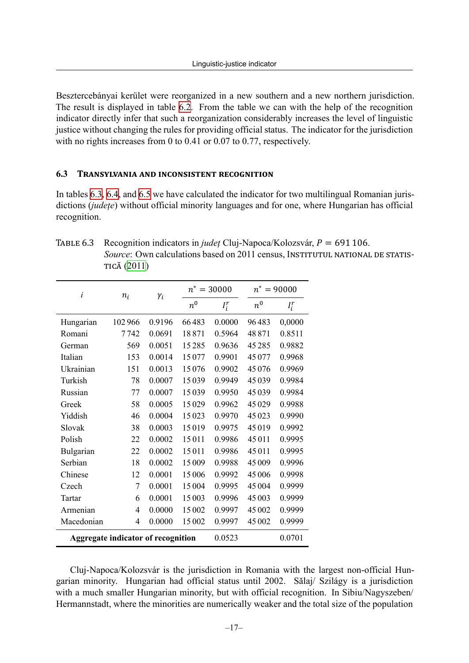Besztercebányai kerület were reorganized in a new southern and a new northern jurisdiction. The result is displayed in table [6.2](#page-16-1). From the table we can with the help of the recognition indicator directly infer that such a reorganization considerably increases the level of linguistic justice without changing the rules for providing official status. The indicator for the jurisdiction with no rights increases from 0 to 0.41 or 0.07 to 0.77, respectively.

#### **6.3 TRANSYLVANIA AND INCONSISTENT RECOGNITION**

In tables [6.3,](#page-17-0) [6.4](#page-18-0), and [6.5](#page-19-0) we have calculated the indicator for two multilingual Romanian jurisdictions (*județe*) without official minority languages and for one, where Hungarian has official recognition.

<span id="page-17-0"></span>

| TABLE 6.3 Recognition indicators in <i>judet</i> Cluj-Napoca/Kolozsvár, $P = 691 106$ . |
|-----------------------------------------------------------------------------------------|
| Source: Own calculations based on 2011 census, INSTITUTUL NATIONAL DE STATIS-           |
| TICĂ (2011)                                                                             |

| i                                         | $n_i$  | $\gamma_i$ |                    | $n^* = 30000$ |             | $n^* = 90000$<br>$I_i^r$<br>0,0000<br>0.8511<br>0.9882<br>0.9968 |  |
|-------------------------------------------|--------|------------|--------------------|---------------|-------------|------------------------------------------------------------------|--|
|                                           |        |            | $\boldsymbol{n}^0$ | $I_i^r$       | $n^{\rm o}$ |                                                                  |  |
| Hungarian                                 | 102966 | 0.9196     | 66483              | 0.0000        | 96483       |                                                                  |  |
| Romani                                    | 7 742  | 0.0691     | 18871              | 0.5964        | 48871       |                                                                  |  |
| German                                    | 569    | 0.0051     | 15285              | 0.9636        | 45285       |                                                                  |  |
| Italian                                   | 153    | 0.0014     | 15077              | 0.9901        | 45077       |                                                                  |  |
| Ukrainian                                 | 151    | 0.0013     | 15076              | 0.9902        | 45076       | 0.9969                                                           |  |
| Turkish                                   | 78     | 0.0007     | 15039              | 0.9949        | 45039       | 0.9984                                                           |  |
| Russian                                   | 77     | 0.0007     | 15039              | 0.9950        | 45039       | 0.9984                                                           |  |
| Greek                                     | 58     | 0.0005     | 15029              | 0.9962        | 45029       | 0.9988                                                           |  |
| Yiddish                                   | 46     | 0.0004     | 15023              | 0.9970        | 45023       | 0.9990                                                           |  |
| Slovak                                    | 38     | 0.0003     | 15019              | 0.9975        | 45019       | 0.9992                                                           |  |
| Polish                                    | 22     | 0.0002     | 15011              | 0.9986        | 45011       | 0.9995                                                           |  |
| Bulgarian                                 | 22     | 0.0002     | 15011              | 0.9986        | 45 011      | 0.9995                                                           |  |
| Serbian                                   | 18     | 0.0002     | 15009              | 0.9988        | 45009       | 0.9996                                                           |  |
| Chinese                                   | 12     | 0.0001     | 15 006             | 0.9992        | 45 006      | 0.9998                                                           |  |
| Czech                                     | 7      | 0.0001     | 15 004             | 0.9995        | 45 004      | 0.9999                                                           |  |
| Tartar                                    | 6      | 0.0001     | 15003              | 0.9996        | 45 003      | 0.9999                                                           |  |
| Armenian                                  | 4      | 0.0000     | 15 002             | 0.9997        | 45 002      | 0.9999                                                           |  |
| Macedonian                                | 4      | 0.0000     | 15 002             | 0.9997        | 45 002      | 0.9999                                                           |  |
| <b>Aggregate indicator of recognition</b> |        |            |                    | 0.0523        |             | 0.0701                                                           |  |

Cluj-Napoca/Kolozsvár is the jurisdiction in Romania with the largest non-official Hungarian minority. Hungarian had official status until 2002. Sălaj/ Szilágy is a jurisdiction with a much smaller Hungarian minority, but with official recognition. In Sibiu/Nagyszeben/ Hermannstadt, where the minorities are numerically weaker and the total size of the population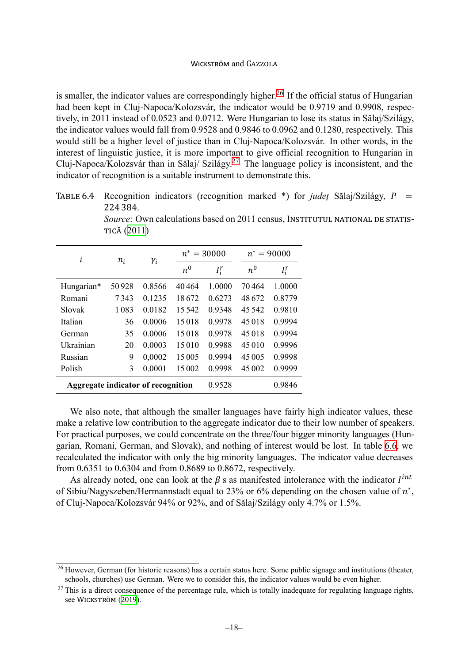is smaller, the indicator values are correspondingly higher.<sup>[26](#page-18-1)</sup> If the official status of Hungarian had been kept in Cluj-Napoca/Kolozsvár, the indicator would be 0.9719 and 0.9908, respectively, in 2011 instead of 0.0523 and 0.0712. Were Hungarian to lose its status in Sălaj/Szilágy, the indicator values would fall from 0.9528 and 0.9846 to 0.0962 and 0.1280, respectively. This would still be a higher level of justice than in Cluj-Napoca/Kolozsvár. In other words, in the interest of linguistic justice, it is more important to give official recognition to Hungarian in Cluj-Napoca/Kolozsvár than in Sălaj/ Szilágy.[27](#page-18-2) The language policy is inconsistent, and the indicator of recognition is a suitable instrument to demonstrate this.

<span id="page-18-0"></span>TABLE 6.4 Recognition indicators (recognition marked \*) for *judet* Sălaj/Szilágy, P 224 384.

*Source*: Own calculations based on 2011 census, INSTITUTUL NATIONAL DE STATIS-TICĂ [\(2011\)](#page-25-10)

| i                                  | $n_i$ | $\gamma_i$ |         | $n^* = 30000$ |         | $n^* = 90000$ |
|------------------------------------|-------|------------|---------|---------------|---------|---------------|
|                                    |       |            | $n^0$   | $I_i^r$       | $n^0$   | $I_i^r$       |
| Hungarian*                         | 50928 | 0.8566     | 40464   | 1.0000        | 70464   | 1.0000        |
| Romani                             | 7343  | 0.1235     | 18672   | 0.6273        | 48672   | 0.8779        |
| Slovak                             | 1083  | 0.0182     | 15 5 42 | 0.9348        | 45 5 42 | 0.9810        |
| Italian                            | 36    | 0.0006     | 15018   | 0.9978        | 45018   | 0.9994        |
| German                             | 35    | 0.0006     | 15018   | 0.9978        | 45018   | 0.9994        |
| Ukrainian                          | 20    | 0.0003     | 15010   | 0.9988        | 45010   | 0.9996        |
| Russian                            | 9     | 0,0002     | 15 005  | 0.9994        | 45 005  | 0.9998        |
| Polish                             | 3     | 0.0001     | 15 002  | 0.9998        | 45 002  | 0.9999        |
| Aggregate indicator of recognition |       |            |         | 0.9528        |         | 0.9846        |

We also note, that although the smaller languages have fairly high indicator values, these make a relative low contribution to the aggregate indicator due to their low number of speakers. For practical purposes, we could concentrate on the three/four bigger minority languages (Hungarian, Romani, German, and Slovak), and nothing of interest would be lost. In table [6.6,](#page-19-1) we recalculated the indicator with only the big minority languages. The indicator value decreases from 0.6351 to 0.6304 and from 0.8689 to 0.8672, respectively.

As already noted, one can look at the  $\beta$  s as manifested intolerance with the indicator  $I^{int}$ of Sibiu/Nagyszeben/Hermannstadt equal to 23% or 6% depending on the chosen value of  $n^*$ , of Cluj-Napoca/Kolozsvár 94% or 92%, and of Sălaj/Szilágy only 4.7% or 1.5%.

<span id="page-18-1"></span><sup>&</sup>lt;sup>26</sup> However, German (for historic reasons) has a certain status here. Some public signage and institutions (theater, schools, churches) use German. Were we to consider this, the indicator values would be even higher.

<span id="page-18-2"></span> $27$  This is a direct consequence of the percentage rule, which is totally inadequate for regulating language rights, see WICKSTRÖM ([2019\)](#page-27-4).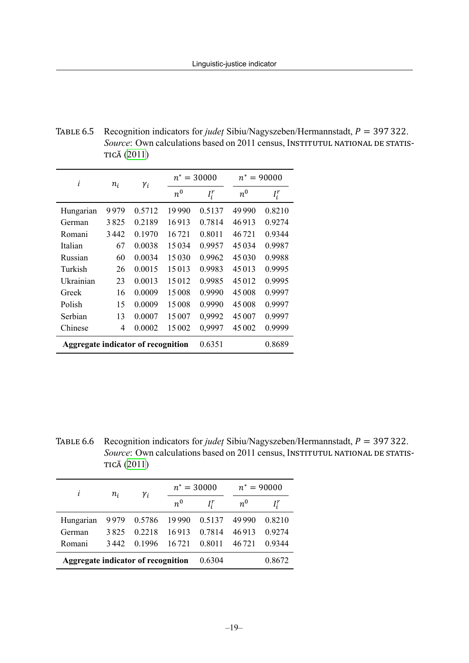<span id="page-19-0"></span>TABLE 6.5 Recognition indicators for *judet* Sibiu/Nagyszeben/Hermannstadt,  $P = 397322$ . *Source*: Own calculations based on 2011 census, INSTITUTUL NATIONAL DE STATIS-TICĂ [\(2011\)](#page-25-10)

| i                                  | $n_i$ | $\gamma_i$ | $n^* = 30000$ |         |         | $n^* = 90000$ |
|------------------------------------|-------|------------|---------------|---------|---------|---------------|
|                                    |       |            | $n^0$         | $I_i^r$ | $n^0$   | $I_i^r$       |
| Hungarian                          | 9979  | 0.5712     | 19990         | 0.5137  | 49 990  | 0.8210        |
| German                             | 3825  | 0.2189     | 16913         | 0.7814  | 46913   | 0.9274        |
| Romani                             | 3442  | 0.1970     | 16721         | 0.8011  | 46721   | 0.9344        |
| Italian                            | 67    | 0.0038     | 15034         | 0.9957  | 45034   | 0.9987        |
| Russian                            | 60    | 0.0034     | 15030         | 0.9962  | 45 0 30 | 0.9988        |
| Turkish                            | 26    | 0.0015     | 15013         | 0.9983  | 45 013  | 0.9995        |
| Ukrainian                          | 23    | 0.0013     | 15012         | 0.9985  | 45012   | 0.9995        |
| Greek                              | 16    | 0.0009     | 15008         | 0.9990  | 45 008  | 0.9997        |
| Polish                             | 15    | 0.0009     | 15008         | 0.9990  | 45 008  | 0.9997        |
| Serbian                            | 13    | 0.0007     | 15007         | 0,9992  | 45 007  | 0.9997        |
| Chinese                            | 4     | 0.0002     | 15002         | 0,9997  | 45 002  | 0.9999        |
| Aggregate indicator of recognition |       | 0.6351     |               | 0.8689  |         |               |

<span id="page-19-1"></span>TABLE 6.6 Recognition indicators for *judet* Sibiu/Nagyszeben/Hermannstadt,  $P = 397322$ . *Source*: Own calculations based on 2011 census, INSTITUTUL NATIONAL DE STATIS-TICĂ [\(2011\)](#page-25-10)

| i                                  | $n_i$ | $\gamma_i$ | $n^* = 30000$ |         | $n^* = 90000$ |        |
|------------------------------------|-------|------------|---------------|---------|---------------|--------|
|                                    |       |            | $n^0$         | $I_i^r$ | $n^0$         |        |
| Hungarian                          | 9979  | 0.5786     | 19 990        | 0.5137  | 49 990        | 0.8210 |
| German                             | 3825  | 0 2 2 1 8  | 16913         | 0.7814  | 46913         | 0.9274 |
| Romani                             | 3442  | 0.1996     | 16 721        | 0.8011  | 46 721        | 0.9344 |
| Aggregate indicator of recognition |       |            | 0.6304        |         | 0.8672        |        |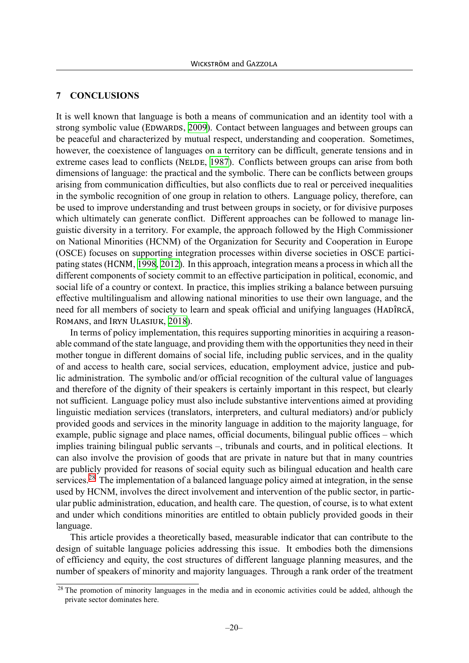#### <span id="page-20-0"></span>**7 CONCLUSIONS**

It is well known that language is both a means of communication and an identity tool with a strong symbolic value (EDWARDS, [2009\)](#page-24-8). Contact between languages and between groups can be peaceful and characterized by mutual respect, understanding and cooperation. Sometimes, however, the coexistence of languages on a territory can be difficult, generate tensions and in extreme cases lead to conflicts (NELDE, [1987](#page-25-11)). Conflicts between groups can arise from both dimensions of language: the practical and the symbolic. There can be conflicts between groups arising from communication difficulties, but also conflicts due to real or perceived inequalities in the symbolic recognition of one group in relation to others. Language policy, therefore, can be used to improve understanding and trust between groups in society, or for divisive purposes which ultimately can generate conflict. Different approaches can be followed to manage linguistic diversity in a territory. For example, the approach followed by the High Commissioner on National Minorities (HCNM) of the Organization for Security and Cooperation in Europe (OSCE) focuses on supporting integration processes within diverse societies in OSCE participating states (HCNM, [1998](#page-25-12), [2012\)](#page-25-13). In this approach, integration means a process in which all the different components of society commit to an effective participation in political, economic, and social life of a country or context. In practice, this implies striking a balance between pursuing effective multilingualism and allowing national minorities to use their own language, and the need for all members of society to learn and speak official and unifying languages (HADÎRCĂ, ROMANS, and IRYN ULASIUK, [2018\)](#page-24-9).

In terms of policy implementation, this requires supporting minorities in acquiring a reasonable command of the state language, and providing them with the opportunities they need in their mother tongue in different domains of social life, including public services, and in the quality of and access to health care, social services, education, employment advice, justice and public administration. The symbolic and/or official recognition of the cultural value of languages and therefore of the dignity of their speakers is certainly important in this respect, but clearly not sufficient. Language policy must also include substantive interventions aimed at providing linguistic mediation services (translators, interpreters, and cultural mediators) and/or publicly provided goods and services in the minority language in addition to the majority language, for example, public signage and place names, official documents, bilingual public offices – which implies training bilingual public servants –, tribunals and courts, and in political elections. It can also involve the provision of goods that are private in nature but that in many countries are publicly provided for reasons of social equity such as bilingual education and health care services.<sup>[28](#page-20-1)</sup> The implementation of a balanced language policy aimed at integration, in the sense used by HCNM, involves the direct involvement and intervention of the public sector, in particular public administration, education, and health care. The question, of course, is to what extent and under which conditions minorities are entitled to obtain publicly provided goods in their language.

This article provides a theoretically based, measurable indicator that can contribute to the design of suitable language policies addressing this issue. It embodies both the dimensions of efficiency and equity, the cost structures of different language planning measures, and the number of speakers of minority and majority languages. Through a rank order of the treatment

<span id="page-20-1"></span> $28$  The promotion of minority languages in the media and in economic activities could be added, although the private sector dominates here.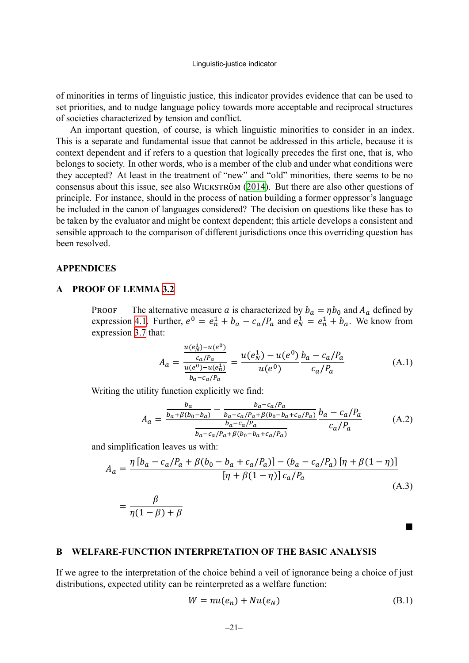of minorities in terms of linguistic justice, this indicator provides evidence that can be used to set priorities, and to nudge language policy towards more acceptable and reciprocal structures of societies characterized by tension and conflict.

An important question, of course, is which linguistic minorities to consider in an index. This is a separate and fundamental issue that cannot be addressed in this article, because it is context dependent and if refers to a question that logically precedes the first one, that is, who belongs to society. In other words, who is a member of the club and under what conditions were they accepted? At least in the treatment of "new" and "old" minorities, there seems to be no consensus about this issue, see also WICKSTRÖM ([2014\)](#page-27-5). But there are also other questions of principle. For instance, should in the process of nation building a former oppressor's language be included in the canon of languages considered? The decision on questions like these has to be taken by the evaluator and might be context dependent; this article develops a consistent and sensible approach to the comparison of different jurisdictions once this overriding question has been resolved.

#### **APPENDICES**

#### <span id="page-21-1"></span>**A PROOF OF LEMMA [3.2](#page-11-1)**

**PROOF** The alternative measure a is characterized by  $b_a = \eta b_0$  and  $A_a$  defined by expression [4.1](#page-11-3). Further,  $e^0 = e_n^1 + b_a - c_a/P_a$  and  $e_N^1 = e_n^1 + b_a$ . We know from expression [3.7](#page-10-1) that:

$$
A_a = \frac{\frac{u(e_N^1) - u(e^0)}{c_a/P_a}}{\frac{u(e^0) - u(e_n^1)}{b_a - c_a/P_a}} = \frac{u(e_N^1) - u(e^0)}{u(e^0)} \frac{b_a - c_a/P_a}{c_a/P_a}
$$
(A.1)

Writing the utility function explicitly we find:

$$
A_{a} = \frac{\frac{b_{a}}{b_{a} + \beta(b_{0} - b_{a})} - \frac{b_{a} - c_{a}/P_{a}}{b_{a} - c_{a}/P_{a} + \beta(b_{0} - b_{a} + c_{a}/P_{a})}}{\frac{b_{a} - c_{a}/P_{a}}{b_{a} - c_{a}/P_{a} + \beta(b_{0} - b_{a} + c_{a}/P_{a})}} \frac{b_{a} - c_{a}/P_{a}}{c_{a}/P_{a}}
$$
(A.2)

and simplification leaves us with:

$$
A_{a} = \frac{\eta \left[ b_{a} - c_{a}/P_{a} + \beta(b_{0} - b_{a} + c_{a}/P_{a}) \right] - (b_{a} - c_{a}/P_{a}) \left[ \eta + \beta(1 - \eta) \right]}{\left[ \eta + \beta(1 - \eta) \right] c_{a}/P_{a}}
$$
\n(A.3)

$$
=\frac{\beta}{\eta(1-\beta)+\beta}
$$

■

#### <span id="page-21-0"></span>**B WELFARE-FUNCTION INTERPRETATION OF THE BASIC ANALYSIS**

If we agree to the interpretation of the choice behind a veil of ignorance being a choice of just distributions, expected utility can be reinterpreted as a welfare function:

$$
W = nu(e_n) + Nu(e_N)
$$
 (B.1)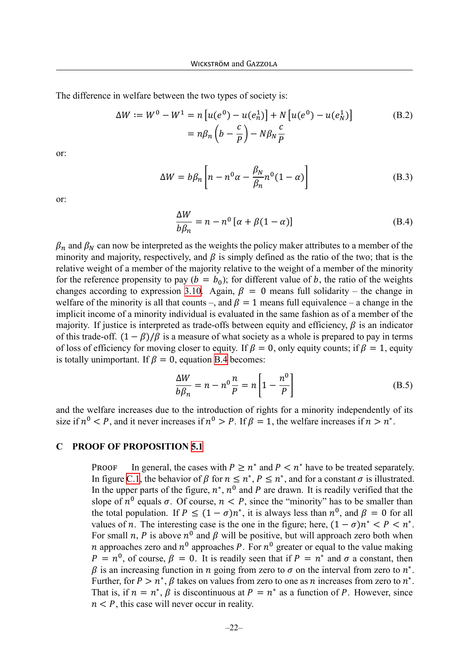The difference in welfare between the two types of society is:

$$
\Delta W := W^{0} - W^{1} = n \left[ u(e^{0}) - u(e_{n}^{1}) \right] + N \left[ u(e^{0}) - u(e_{N}^{1}) \right]
$$
\n
$$
= n \beta_{n} \left( b - \frac{c}{p} \right) - N \beta_{N} \frac{c}{p}
$$
\n(B.2)

or:

$$
\Delta W = b\beta_n \left[ n - n^0 \alpha - \frac{\beta_N}{\beta_n} n^0 (1 - \alpha) \right]
$$
 (B.3)

or:

<span id="page-22-1"></span>
$$
\frac{\Delta W}{b\beta_n} = n - n^0 \left[ \alpha + \beta (1 - \alpha) \right]
$$
 (B.4)

 $\beta_n$  and  $\beta_N$  can now be interpreted as the weights the policy maker attributes to a member of the minority and majority, respectively, and  $\beta$  is simply defined as the ratio of the two; that is the relative weight of a member of the majority relative to the weight of a member of the minority for the reference propensity to pay  $(b = b_0)$ ; for different value of b, the ratio of the weights changes according to expression [3.10](#page-11-1). Again,  $\beta = 0$  means full solidarity – the change in welfare of the minority is all that counts –, and  $\beta = 1$  means full equivalence – a change in the implicit income of a minority individual is evaluated in the same fashion as of a member of the majority. If justice is interpreted as trade-offs between equity and efficiency,  $\beta$  is an indicator of this trade-off.  $(1 - \beta)/\beta$  is a measure of what society as a whole is prepared to pay in terms of loss of efficiency for moving closer to equity. If  $\beta = 0$ , only equity counts; if  $\beta = 1$ , equity is totally unimportant. If  $\beta = 0$ , equation [B.4](#page-22-1) becomes:

$$
\frac{\Delta W}{b\beta_n} = n - n^0 \frac{n}{P} = n \left[ 1 - \frac{n^0}{P} \right]
$$
 (B.5)

and the welfare increases due to the introduction of rights for a minority independently of its size if  $n^0 < P$ , and it never increases if  $n^0 > P$ . If  $\beta = 1$ , the welfare increases if  $n > n^*$ .

#### <span id="page-22-0"></span>**C PROOF OF PROPOSITION [5.1](#page-13-1)**

PROOF In general, the cases with  $P \geq n^*$  and  $P < n^*$  have to be treated separately. In figure [C.1,](#page-23-0) the behavior of  $\beta$  for  $n \leq n^*$ ,  $P \leq n^*$ , and for a constant  $\sigma$  is illustrated. In the upper parts of the figure,  $n^*$ ,  $n^0$  and P are drawn. It is readily verified that the slope of  $n^0$  equals  $\sigma$ . Of course,  $n < P$ , since the "minority" has to be smaller than the total population. If  $P \leq (1 - \sigma)n^*$ , it is always less than  $n^0$ , and  $\beta = 0$  for all values of *n*. The interesting case is the one in the figure; here,  $(1 - \sigma)n^* < P < n^*$ . For small n, P is above  $n^0$  and  $\beta$  will be positive, but will approach zero both when *n* approaches zero and  $n^0$  approaches *P*. For  $n^0$  greater or equal to the value making  $P = n^0$ , of course,  $\beta = 0$ . It is readily seen that if  $P = n^*$  and  $\sigma$  a constant, then  $\beta$  is an increasing function in *n* going from zero to  $\sigma$  on the interval from zero to  $n^*$ . Further, for  $P > n^*$ ,  $\beta$  takes on values from zero to one as *n* increases from zero to  $n^*$ . That is, if  $n = n^*$ ,  $\beta$  is discontinuous at  $P = n^*$  as a function of P. However, since  $n < P$ , this case will never occur in reality.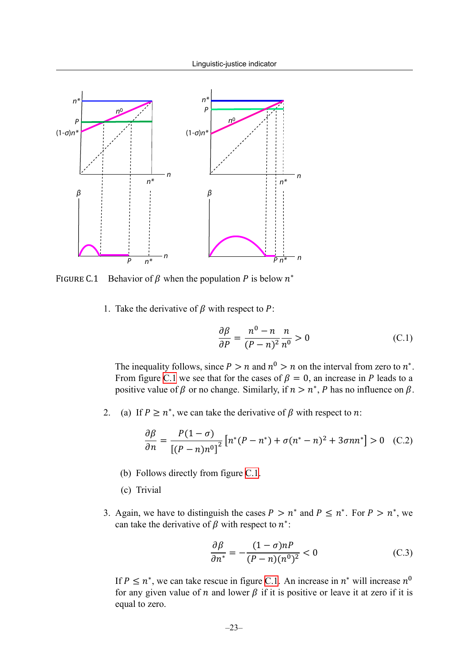<span id="page-23-0"></span>

FIGURE C.1 Behavior of  $\beta$  when the population P is below  $n^*$ 

1. Take the derivative of  $\beta$  with respect to P:

$$
\frac{\partial \beta}{\partial P} = \frac{n^0 - n}{(P - n)^2} \frac{n}{n^0} > 0
$$
 (C.1)

The inequality follows, since  $P > n$  and  $n^0 > n$  on the interval from zero to  $n^*$ . From figure [C.1](#page-23-0) we see that for the cases of  $\beta = 0$ , an increase in P leads to a positive value of  $\beta$  or no change. Similarly, if  $n > n^*$ , P has no influence on  $\beta$ .

2. (a) If  $P \ge n^*$ , we can take the derivative of  $\beta$  with respect to n:

$$
\frac{\partial \beta}{\partial n} = \frac{P(1-\sigma)}{[(P-n)n^0]^2} \left[ n^*(P-n^*) + \sigma (n^*-n)^2 + 3\sigma n n^* \right] > 0 \quad (C.2)
$$

- (b) Follows directly from figure [C.1](#page-23-0).
- (c) Trivial
- 3. Again, we have to distinguish the cases  $P > n^*$  and  $P \leq n^*$ . For  $P > n^*$ , we can take the derivative of  $\beta$  with respect to  $n^*$ :

$$
\frac{\partial \beta}{\partial n^*} = -\frac{(1-\sigma)n}{(P-n)(n^0)^2} < 0 \tag{C.3}
$$

If  $P \leq n^*$ , we can take rescue in figure [C.1](#page-23-0). An increase in  $n^*$  will increase  $n^0$ for any given value of *n* and lower  $\beta$  if it is positive or leave it at zero if it is equal to zero.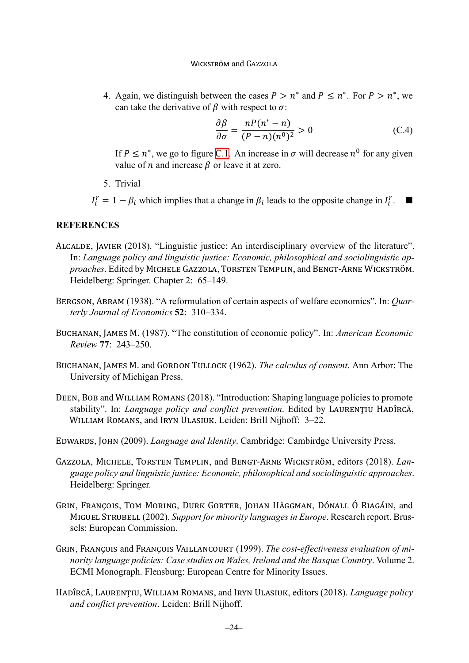4. Again, we distinguish between the cases  $P > n^*$  and  $P \leq n^*$ . For  $P > n^*$ , we can take the derivative of  $\beta$  with respect to  $\sigma$ .

$$
\frac{\partial \beta}{\partial \sigma} = \frac{nP(n^* - n)}{(P - n)(n^0)^2} > 0
$$
\n(C.4)

If  $P \leq n^*$ , we go to figure [C.1.](#page-23-0) An increase in  $\sigma$  will decrease  $n^0$  for any given value of *n* and increase  $\beta$  or leave it at zero.

5. Trivial

 $I_i^r = 1 - \beta_i$  which implies that a change in  $\beta_i$  leads to the opposite change in  $I_i^r$ . ■

#### **REFERENCES**

- <span id="page-24-4"></span>ALCALDE, JAVIER (2018). "Linguistic justice: An interdisciplinary overview of the literature". In: *Language policy and linguistic justice: Economic, philosophical and sociolinguistic approaches*. Edited by MICHELE GAZZOLA, TORSTEN TEMPLIN, and BENGT‐ARNE WICKSTRÖM. Heidelberg: Springer. Chapter 2: 65–149.
- <span id="page-24-7"></span>BERGSON, ABRAM (1938). "A reformulation of certain aspects of welfare economics". In: *Quarterly Journal of Economics* **52**: 310–334.
- <span id="page-24-6"></span>BUCHANAN, JAMES M. (1987). "The constitution of economic policy". In: *American Economic Review* **77**: 243–250.
- <span id="page-24-5"></span>BUCHANAN, JAMES M. and GORDON TULLOCK (1962). *The calculus of consent*. Ann Arbor: The University of Michigan Press.
- <span id="page-24-0"></span>DEEN, BOB and WILLIAM ROMANS (2018). "Introduction: Shaping language policies to promote stability". In: *Language policy and conflict prevention*. Edited by LAURENŢIU HADÎRCĂ, WILLIAM ROMANS, and IRYN ULASIUK. Leiden: Brill Nijhoff: 3–22.

<span id="page-24-8"></span>EDWARDS, JOHN (2009). *Language and Identity*. Cambridge: Cambirdge University Press.

- <span id="page-24-1"></span>GAZZOLA, MICHELE, TORSTEN TEMPLIN, and BENGT‐ARNE WICKSTRÖM, editors (2018). *Language policy and linguistic justice: Economic, philosophical and sociolinguistic approaches*. Heidelberg: Springer.
- <span id="page-24-3"></span>GRIN, FRANÇOIS, TOM MORING, DURK GORTER, JOHAN HÄGGMAN, DÓNALL Ó RIAGÁIN, and MIGUEL STRUBELL (2002). *Support for minority languages in Europe*. Research report. Brussels: European Commission.
- <span id="page-24-2"></span>GRIN, FRANÇOIS and FRANÇOIS VAILLANCOURT (1999). *The cost-effectiveness evaluation of minority language policies: Case studies on Wales, Ireland and the Basque Country*. Volume 2. ECMI Monograph. Flensburg: European Centre for Minority Issues.
- <span id="page-24-9"></span>HADÎRCĂ, LAURENŢIU, WILLIAM ROMANS, and IRYN ULASIUK, editors (2018). *Language policy and conflict prevention*. Leiden: Brill Nijhoff.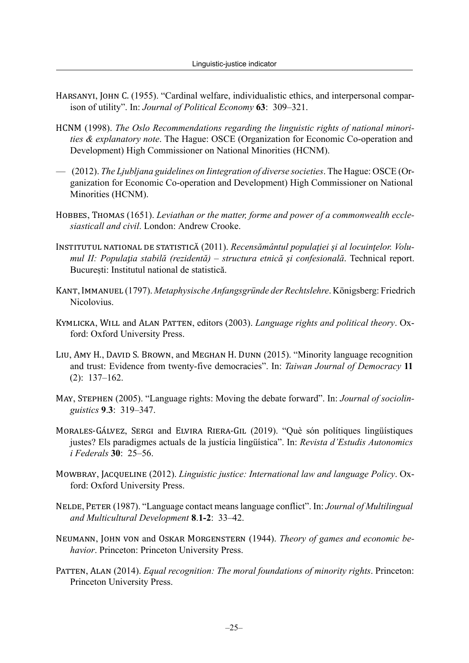- <span id="page-25-8"></span>HARSANYI, JOHN C. (1955). "Cardinal welfare, individualistic ethics, and interpersonal comparison of utility". In: *Journal of Political Economy* **63**: 309–321.
- <span id="page-25-12"></span>HCNM (1998). *The Oslo Recommendations regarding the linguistic rights of national minorities & explanatory note*. The Hague: OSCE (Organization for Economic Co-operation and Development) High Commissioner on National Minorities (HCNM).
- <span id="page-25-13"></span>— (2012). *The Ljubljana guidelines on Iintegration of diverse societies*. The Hague: OSCE (Organization for Economic Co-operation and Development) High Commissioner on National Minorities (HCNM).
- <span id="page-25-6"></span>HOBBES, THOMAS (1651). *Leviathan or the matter, forme and power of a commonwealth ecclesiasticall and civil*. London: Andrew Crooke.
- <span id="page-25-10"></span>INSTITUTUL NATIONAL DE STATISTICĂ (2011). *Recensământul populaţiei şi al locuinţelor. Volumul II: Populaƫia stabilă (rezidentă) – structura etnică şi confesională*. Technical report. București: Institutul national de statistică.
- <span id="page-25-7"></span>KANT, IMMANUEL (1797). *Metaphysische Anfangsgründe der Rechtslehre*. Königsberg: Friedrich Nicolovius.
- <span id="page-25-2"></span>KYMLICKA, WILL and ALAN PATTEN, editors (2003). *Language rights and political theory*. Oxford: Oxford University Press.
- <span id="page-25-1"></span>LIU, AMY H., DAVID S. BROWN, and MEGHAN H. DUNN (2015). "Minority language recognition and trust: Evidence from twenty-five democracies". In: *Taiwan Journal of Democracy* **11** (2): 137–162.
- <span id="page-25-0"></span>MAY, STEPHEN (2005). "Language rights: Moving the debate forward". In: *Journal of sociolinguistics* **9**.**3**: 319–347.
- <span id="page-25-4"></span>MORALES‐GÁLVEZ, SERGI and ELVIRA RIERA‐GIL (2019). "Què són polítiques lingüístiques justes? Els paradigmes actuals de la justícia lingüística". In: *Revista d'Estudis Autonomics i Federals* **30**: 25–56.
- <span id="page-25-5"></span>MOWBRAY, JACQUELINE (2012). *Linguistic justice: International law and language Policy*. Oxford: Oxford University Press.
- <span id="page-25-11"></span>NELDE, PETER (1987). "Language contact means language conflict". In: *Journal of Multilingual and Multicultural Development* **8**.**1-2**: 33–42.
- <span id="page-25-9"></span>NEUMANN, JOHN VON and OSKAR MORGENSTERN (1944). *Theory of games and economic behavior*. Princeton: Princeton University Press.
- <span id="page-25-3"></span>PATTEN, ALAN (2014). *Equal recognition: The moral foundations of minority rights*. Princeton: Princeton University Press.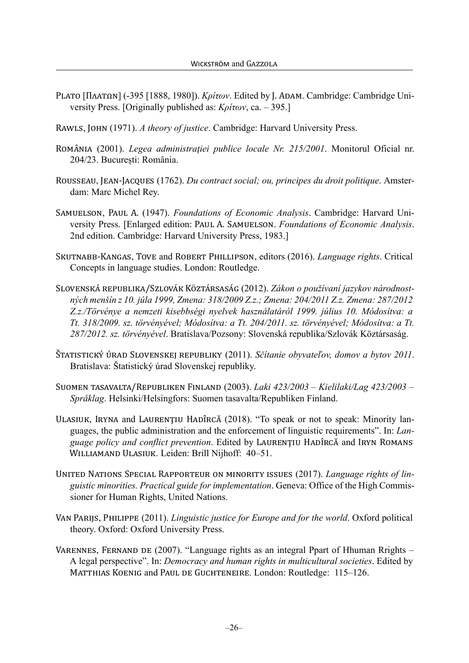- <span id="page-26-9"></span>PLATO [ΠΛΑΤΩΝ] (-395 [1888, 1980]). *Κρίτων*. Edited by J. ADAM. Cambridge: Cambridge University Press. [Originally published as: *Κρίτων*, ca. – 395.]
- <span id="page-26-8"></span>RAWLS, JOHN (1971). *A theory of justice*. Cambridge: Harvard University Press.
- <span id="page-26-3"></span>ROMÂNIA (2001). *Legea administraţiei publice locale Nr. 215/2001*. Monitorul Oficial nr. 204/23. București: România.
- <span id="page-26-10"></span>ROUSSEAU, JEAN‐JACQUES (1762). *Du contract social; ou, principes du droit politique*. Amsterdam: Marc Michel Rey.
- <span id="page-26-11"></span>SAMUELSON, PAUL A. (1947). *Foundations of Economic Analysis*. Cambridge: Harvard University Press. [Enlarged edition: PAUL A. SAMUELSON. *Foundations of Economic Analysis*. 2nd edition. Cambridge: Harvard University Press, 1983.]
- <span id="page-26-7"></span>SKUTNABB‐KANGAS, TOVE and ROBERT PHILLIPSON, editors (2016). *Language rights*. Critical Concepts in language studies. London: Routledge.
- <span id="page-26-4"></span>SLOVENSKÁ REPUBLIKA/SZLOVÁK KÖZTÁRSASÁG (2012). *Zákon o používaní jazykov národnostných menšín z 10. júla 1999, Zmena: 318/2009 Z.z.; Zmena: 204/2011 Z.z. Zmena: 287/2012 Z.z./Törvénye a nemzeti kisebbségi nyelvek használatáról 1999. július 10. Módosítva: a Tt. 318/2009. sz. törvényével; Módosítva: a Tt. 204/2011. sz. törvényével; Módosítva: a Tt. 287/2012. sz. törvényével*. Bratislava/Pozsony: Slovenská republika/Szlovák Köztársaság.
- <span id="page-26-12"></span>ŠTATISTICKÝ ÚRAD SLOVENSKEJ REPUBLIKY (2011). *Sčítanie obyvateľov, domov a bytov 2011*. Bratislava: Štatistický úrad Slovenskej republiky.
- <span id="page-26-0"></span>SUOMEN TASAVALTA/REPUBLIKEN FINLAND (2003). *Laki 423/2003 – Kielilaki/Lag 423/2003 – Språklag*. Helsinki/Helsingfors: Suomen tasavalta/Republiken Finland.
- <span id="page-26-2"></span>ULASIUK, IRYNA and LAURENŢIU HADÎRCĂ (2018). "To speak or not to speak: Minority languages, the public administration and the enforcement of linguistic requirements". In: *Language policy and conflict prevention*. Edited by LAURENŢIU HADÎRCĂ and IRYN ROMANS WILLIAMAND ULASIUK. Leiden: Brill Nijhoff: 40–51.
- <span id="page-26-1"></span>UNITED NATIONS SPECIAL RAPPORTEUR ON MINORITY ISSUES (2017). *Language rights of linguistic minorities. Practical guide for implementation*. Geneva: Office of the High Commissioner for Human Rights, United Nations.
- <span id="page-26-5"></span>VAN PARIJS, PHILIPPE (2011). *Linguistic justice for Europe and for the world*. Oxford political theory. Oxford: Oxford University Press.
- <span id="page-26-6"></span>VARENNES, FERNAND DE (2007). "Language rights as an integral Ppart of Hhuman Rrights – A legal perspective". In: *Democracy and human rights in multicultural societies*. Edited by MATTHIAS KOENIG and PAUL DE GUCHTENEIRE. London: Routledge: 115–126.